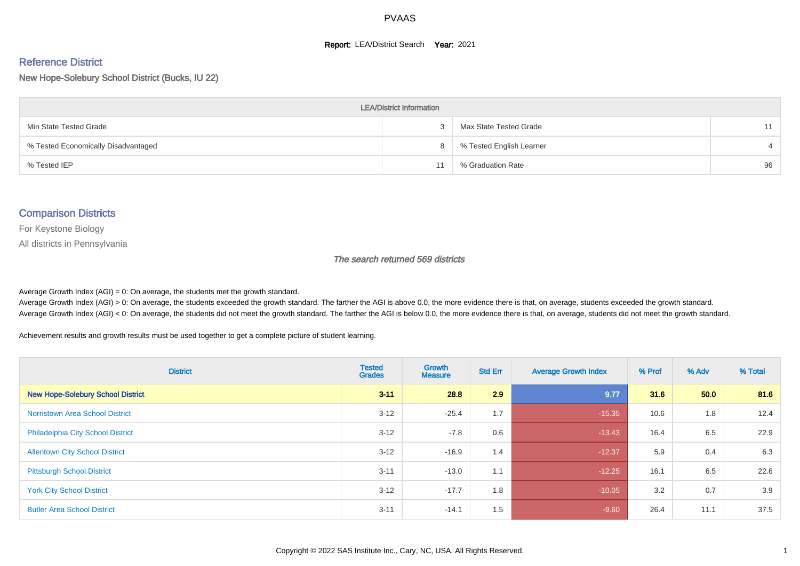#### **Report: LEA/District Search Year: 2021**

# Reference District

New Hope-Solebury School District (Bucks, IU 22)

| <b>LEA/District Information</b>     |  |                          |    |  |  |  |  |  |  |  |
|-------------------------------------|--|--------------------------|----|--|--|--|--|--|--|--|
| Min State Tested Grade              |  | Max State Tested Grade   | 11 |  |  |  |  |  |  |  |
| % Tested Economically Disadvantaged |  | % Tested English Learner |    |  |  |  |  |  |  |  |
| % Tested IEP                        |  | % Graduation Rate        | 96 |  |  |  |  |  |  |  |

#### Comparison Districts

For Keystone Biology

All districts in Pennsylvania

The search returned 569 districts

Average Growth Index  $(AGI) = 0$ : On average, the students met the growth standard.

Average Growth Index (AGI) > 0: On average, the students exceeded the growth standard. The farther the AGI is above 0.0, the more evidence there is that, on average, students exceeded the growth standard. Average Growth Index (AGI) < 0: On average, the students did not meet the growth standard. The farther the AGI is below 0.0, the more evidence there is that, on average, students did not meet the growth standard.

Achievement results and growth results must be used together to get a complete picture of student learning.

| <b>District</b>                          | <b>Tested</b><br><b>Grades</b> | <b>Growth</b><br><b>Measure</b> | <b>Std Err</b> | <b>Average Growth Index</b> | % Prof | % Adv | % Total |
|------------------------------------------|--------------------------------|---------------------------------|----------------|-----------------------------|--------|-------|---------|
| <b>New Hope-Solebury School District</b> | $3 - 11$                       | 28.8                            | 2.9            | 9.77                        | 31.6   | 50.0  | 81.6    |
| <b>Norristown Area School District</b>   | $3 - 12$                       | $-25.4$                         | 1.7            | $-15.35$                    | 10.6   | 1.8   | 12.4    |
| Philadelphia City School District        | $3 - 12$                       | $-7.8$                          | 0.6            | $-13.43$                    | 16.4   | 6.5   | 22.9    |
| <b>Allentown City School District</b>    | $3 - 12$                       | $-16.9$                         | 1.4            | $-12.37$                    | 5.9    | 0.4   | 6.3     |
| <b>Pittsburgh School District</b>        | $3 - 11$                       | $-13.0$                         | 1.1            | $-12.25$                    | 16.1   | 6.5   | 22.6    |
| <b>York City School District</b>         | $3 - 12$                       | $-17.7$                         | 1.8            | $-10.05$                    | 3.2    | 0.7   | 3.9     |
| <b>Butler Area School District</b>       | $3 - 11$                       | $-14.1$                         | 1.5            | $-9.60$                     | 26.4   | 11.1  | 37.5    |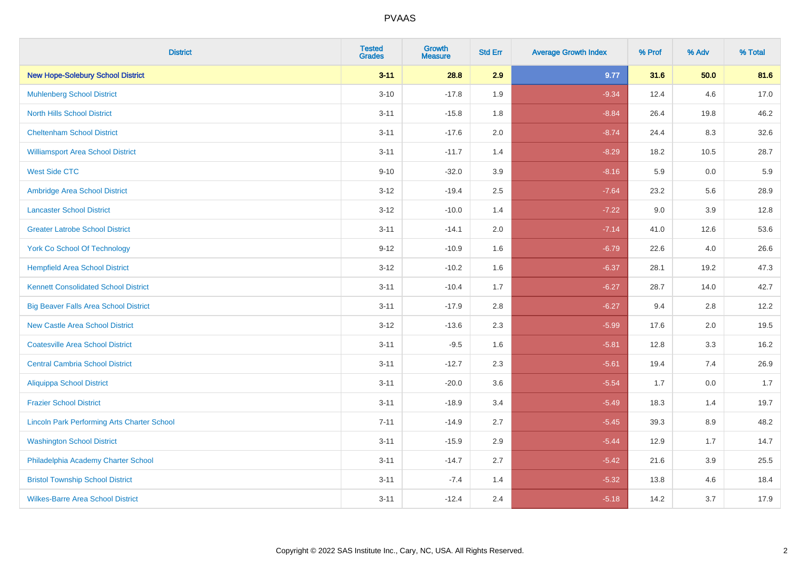| <b>District</b>                                    | <b>Tested</b><br><b>Grades</b> | <b>Growth</b><br><b>Measure</b> | <b>Std Err</b> | <b>Average Growth Index</b> | % Prof | % Adv   | % Total |
|----------------------------------------------------|--------------------------------|---------------------------------|----------------|-----------------------------|--------|---------|---------|
| <b>New Hope-Solebury School District</b>           | $3 - 11$                       | 28.8                            | 2.9            | 9.77                        | 31.6   | 50.0    | 81.6    |
| <b>Muhlenberg School District</b>                  | $3 - 10$                       | $-17.8$                         | 1.9            | $-9.34$                     | 12.4   | 4.6     | 17.0    |
| <b>North Hills School District</b>                 | $3 - 11$                       | $-15.8$                         | 1.8            | $-8.84$                     | 26.4   | 19.8    | 46.2    |
| <b>Cheltenham School District</b>                  | $3 - 11$                       | $-17.6$                         | 2.0            | $-8.74$                     | 24.4   | 8.3     | 32.6    |
| <b>Williamsport Area School District</b>           | $3 - 11$                       | $-11.7$                         | 1.4            | $-8.29$                     | 18.2   | 10.5    | 28.7    |
| <b>West Side CTC</b>                               | $9 - 10$                       | $-32.0$                         | 3.9            | $-8.16$                     | 5.9    | 0.0     | 5.9     |
| Ambridge Area School District                      | $3 - 12$                       | $-19.4$                         | 2.5            | $-7.64$                     | 23.2   | 5.6     | 28.9    |
| <b>Lancaster School District</b>                   | $3 - 12$                       | $-10.0$                         | 1.4            | $-7.22$                     | 9.0    | 3.9     | 12.8    |
| <b>Greater Latrobe School District</b>             | $3 - 11$                       | $-14.1$                         | 2.0            | $-7.14$                     | 41.0   | 12.6    | 53.6    |
| <b>York Co School Of Technology</b>                | $9 - 12$                       | $-10.9$                         | 1.6            | $-6.79$                     | 22.6   | 4.0     | 26.6    |
| <b>Hempfield Area School District</b>              | $3 - 12$                       | $-10.2$                         | 1.6            | $-6.37$                     | 28.1   | 19.2    | 47.3    |
| <b>Kennett Consolidated School District</b>        | $3 - 11$                       | $-10.4$                         | 1.7            | $-6.27$                     | 28.7   | 14.0    | 42.7    |
| <b>Big Beaver Falls Area School District</b>       | $3 - 11$                       | $-17.9$                         | 2.8            | $-6.27$                     | 9.4    | 2.8     | 12.2    |
| <b>New Castle Area School District</b>             | $3 - 12$                       | $-13.6$                         | 2.3            | $-5.99$                     | 17.6   | 2.0     | 19.5    |
| <b>Coatesville Area School District</b>            | $3 - 11$                       | $-9.5$                          | 1.6            | $-5.81$                     | 12.8   | 3.3     | 16.2    |
| <b>Central Cambria School District</b>             | $3 - 11$                       | $-12.7$                         | 2.3            | $-5.61$                     | 19.4   | 7.4     | 26.9    |
| <b>Aliquippa School District</b>                   | $3 - 11$                       | $-20.0$                         | 3.6            | $-5.54$                     | 1.7    | 0.0     | 1.7     |
| <b>Frazier School District</b>                     | $3 - 11$                       | $-18.9$                         | 3.4            | $-5.49$                     | 18.3   | 1.4     | 19.7    |
| <b>Lincoln Park Performing Arts Charter School</b> | $7 - 11$                       | $-14.9$                         | 2.7            | $-5.45$                     | 39.3   | 8.9     | 48.2    |
| <b>Washington School District</b>                  | $3 - 11$                       | $-15.9$                         | 2.9            | $-5.44$                     | 12.9   | 1.7     | 14.7    |
| Philadelphia Academy Charter School                | $3 - 11$                       | $-14.7$                         | 2.7            | $-5.42$                     | 21.6   | $3.9\,$ | 25.5    |
| <b>Bristol Township School District</b>            | $3 - 11$                       | $-7.4$                          | 1.4            | $-5.32$                     | 13.8   | 4.6     | 18.4    |
| <b>Wilkes-Barre Area School District</b>           | $3 - 11$                       | $-12.4$                         | 2.4            | $-5.18$                     | 14.2   | 3.7     | 17.9    |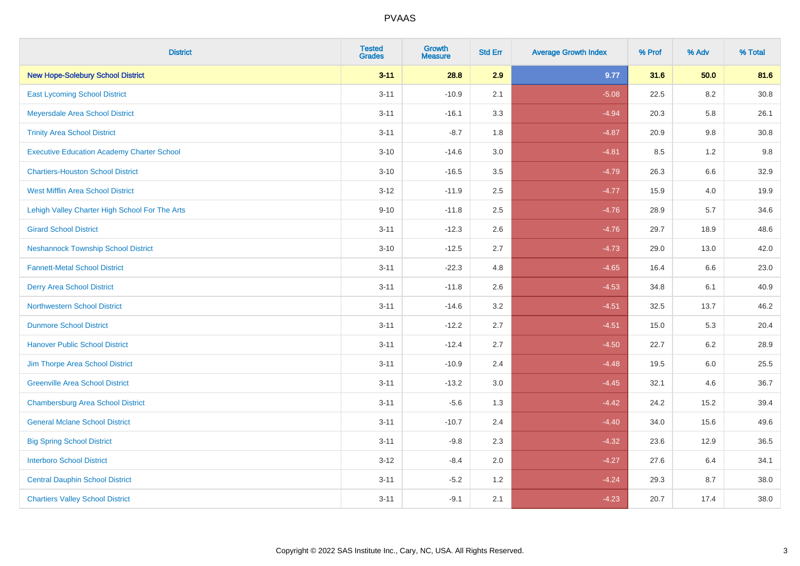| <b>District</b>                                   | <b>Tested</b><br><b>Grades</b> | <b>Growth</b><br><b>Measure</b> | <b>Std Err</b> | <b>Average Growth Index</b> | % Prof | % Adv   | % Total  |
|---------------------------------------------------|--------------------------------|---------------------------------|----------------|-----------------------------|--------|---------|----------|
| <b>New Hope-Solebury School District</b>          | $3 - 11$                       | 28.8                            | 2.9            | 9.77                        | 31.6   | 50.0    | 81.6     |
| <b>East Lycoming School District</b>              | $3 - 11$                       | $-10.9$                         | 2.1            | $-5.08$                     | 22.5   | 8.2     | $30.8\,$ |
| Meyersdale Area School District                   | $3 - 11$                       | $-16.1$                         | 3.3            | $-4.94$                     | 20.3   | 5.8     | 26.1     |
| <b>Trinity Area School District</b>               | $3 - 11$                       | $-8.7$                          | 1.8            | $-4.87$                     | 20.9   | 9.8     | 30.8     |
| <b>Executive Education Academy Charter School</b> | $3 - 10$                       | $-14.6$                         | 3.0            | $-4.81$                     | 8.5    | 1.2     | 9.8      |
| <b>Chartiers-Houston School District</b>          | $3 - 10$                       | $-16.5$                         | 3.5            | $-4.79$                     | 26.3   | $6.6\,$ | 32.9     |
| <b>West Mifflin Area School District</b>          | $3 - 12$                       | $-11.9$                         | 2.5            | $-4.77$                     | 15.9   | 4.0     | 19.9     |
| Lehigh Valley Charter High School For The Arts    | $9 - 10$                       | $-11.8$                         | 2.5            | $-4.76$                     | 28.9   | 5.7     | 34.6     |
| <b>Girard School District</b>                     | $3 - 11$                       | $-12.3$                         | 2.6            | $-4.76$                     | 29.7   | 18.9    | 48.6     |
| <b>Neshannock Township School District</b>        | $3 - 10$                       | $-12.5$                         | 2.7            | $-4.73$                     | 29.0   | 13.0    | 42.0     |
| <b>Fannett-Metal School District</b>              | $3 - 11$                       | $-22.3$                         | 4.8            | $-4.65$                     | 16.4   | 6.6     | 23.0     |
| <b>Derry Area School District</b>                 | $3 - 11$                       | $-11.8$                         | 2.6            | $-4.53$                     | 34.8   | 6.1     | 40.9     |
| <b>Northwestern School District</b>               | $3 - 11$                       | $-14.6$                         | 3.2            | $-4.51$                     | 32.5   | 13.7    | 46.2     |
| <b>Dunmore School District</b>                    | $3 - 11$                       | $-12.2$                         | 2.7            | $-4.51$                     | 15.0   | 5.3     | 20.4     |
| <b>Hanover Public School District</b>             | $3 - 11$                       | $-12.4$                         | 2.7            | $-4.50$                     | 22.7   | 6.2     | 28.9     |
| Jim Thorpe Area School District                   | $3 - 11$                       | $-10.9$                         | 2.4            | $-4.48$                     | 19.5   | $6.0\,$ | 25.5     |
| <b>Greenville Area School District</b>            | $3 - 11$                       | $-13.2$                         | 3.0            | $-4.45$                     | 32.1   | 4.6     | 36.7     |
| <b>Chambersburg Area School District</b>          | $3 - 11$                       | $-5.6$                          | 1.3            | $-4.42$                     | 24.2   | 15.2    | 39.4     |
| <b>General Mclane School District</b>             | $3 - 11$                       | $-10.7$                         | 2.4            | $-4.40$                     | 34.0   | 15.6    | 49.6     |
| <b>Big Spring School District</b>                 | $3 - 11$                       | $-9.8$                          | 2.3            | $-4.32$                     | 23.6   | 12.9    | 36.5     |
| <b>Interboro School District</b>                  | $3 - 12$                       | $-8.4$                          | 2.0            | $-4.27$                     | 27.6   | 6.4     | 34.1     |
| <b>Central Dauphin School District</b>            | $3 - 11$                       | $-5.2$                          | 1.2            | $-4.24$                     | 29.3   | 8.7     | 38.0     |
| <b>Chartiers Valley School District</b>           | $3 - 11$                       | $-9.1$                          | 2.1            | $-4.23$                     | 20.7   | 17.4    | 38.0     |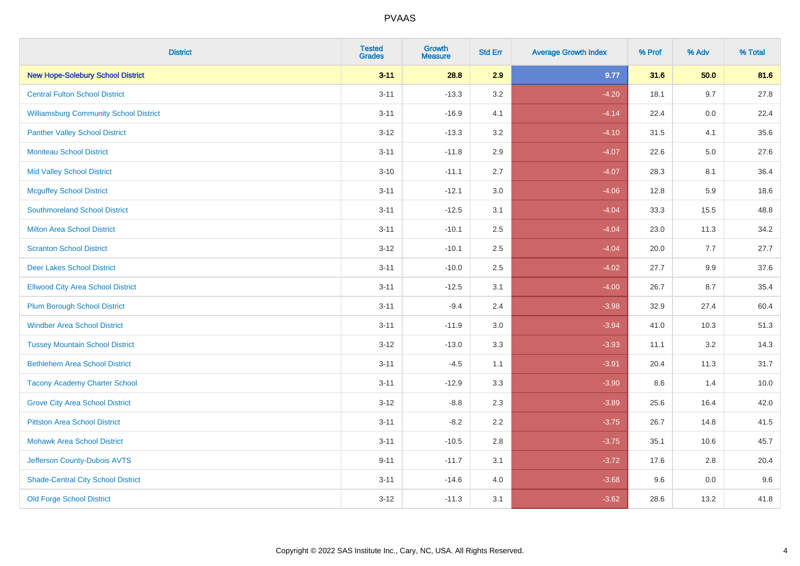| <b>District</b>                               | <b>Tested</b><br><b>Grades</b> | <b>Growth</b><br><b>Measure</b> | <b>Std Err</b> | <b>Average Growth Index</b> | % Prof | % Adv   | % Total |
|-----------------------------------------------|--------------------------------|---------------------------------|----------------|-----------------------------|--------|---------|---------|
| <b>New Hope-Solebury School District</b>      | $3 - 11$                       | 28.8                            | 2.9            | 9.77                        | 31.6   | 50.0    | 81.6    |
| <b>Central Fulton School District</b>         | $3 - 11$                       | $-13.3$                         | 3.2            | $-4.20$                     | 18.1   | 9.7     | 27.8    |
| <b>Williamsburg Community School District</b> | $3 - 11$                       | $-16.9$                         | 4.1            | $-4.14$                     | 22.4   | 0.0     | 22.4    |
| <b>Panther Valley School District</b>         | $3 - 12$                       | $-13.3$                         | 3.2            | $-4.10$                     | 31.5   | 4.1     | 35.6    |
| <b>Moniteau School District</b>               | $3 - 11$                       | $-11.8$                         | 2.9            | $-4.07$                     | 22.6   | $5.0\,$ | 27.6    |
| <b>Mid Valley School District</b>             | $3 - 10$                       | $-11.1$                         | 2.7            | $-4.07$                     | 28.3   | 8.1     | 36.4    |
| <b>Mcguffey School District</b>               | $3 - 11$                       | $-12.1$                         | 3.0            | $-4.06$                     | 12.8   | 5.9     | 18.6    |
| <b>Southmoreland School District</b>          | $3 - 11$                       | $-12.5$                         | 3.1            | $-4.04$                     | 33.3   | 15.5    | 48.8    |
| <b>Milton Area School District</b>            | $3 - 11$                       | $-10.1$                         | 2.5            | $-4.04$                     | 23.0   | 11.3    | 34.2    |
| <b>Scranton School District</b>               | $3 - 12$                       | $-10.1$                         | $2.5\,$        | $-4.04$                     | 20.0   | 7.7     | 27.7    |
| <b>Deer Lakes School District</b>             | $3 - 11$                       | $-10.0$                         | 2.5            | $-4.02$                     | 27.7   | 9.9     | 37.6    |
| <b>Ellwood City Area School District</b>      | $3 - 11$                       | $-12.5$                         | 3.1            | $-4.00$                     | 26.7   | 8.7     | 35.4    |
| <b>Plum Borough School District</b>           | $3 - 11$                       | $-9.4$                          | 2.4            | $-3.98$                     | 32.9   | 27.4    | 60.4    |
| <b>Windber Area School District</b>           | $3 - 11$                       | $-11.9$                         | 3.0            | $-3.94$                     | 41.0   | 10.3    | 51.3    |
| <b>Tussey Mountain School District</b>        | $3 - 12$                       | $-13.0$                         | 3.3            | $-3.93$                     | 11.1   | 3.2     | 14.3    |
| <b>Bethlehem Area School District</b>         | $3 - 11$                       | $-4.5$                          | 1.1            | $-3.91$                     | 20.4   | 11.3    | 31.7    |
| <b>Tacony Academy Charter School</b>          | $3 - 11$                       | $-12.9$                         | 3.3            | $-3.90$                     | 8.6    | 1.4     | 10.0    |
| <b>Grove City Area School District</b>        | $3 - 12$                       | $-8.8$                          | 2.3            | $-3.89$                     | 25.6   | 16.4    | 42.0    |
| <b>Pittston Area School District</b>          | $3 - 11$                       | $-8.2$                          | 2.2            | $-3.75$                     | 26.7   | 14.8    | 41.5    |
| <b>Mohawk Area School District</b>            | $3 - 11$                       | $-10.5$                         | 2.8            | $-3.75$                     | 35.1   | 10.6    | 45.7    |
| Jefferson County-Dubois AVTS                  | $9 - 11$                       | $-11.7$                         | 3.1            | $-3.72$                     | 17.6   | 2.8     | 20.4    |
| <b>Shade-Central City School District</b>     | $3 - 11$                       | $-14.6$                         | 4.0            | $-3.68$                     | 9.6    | $0.0\,$ | 9.6     |
| <b>Old Forge School District</b>              | $3 - 12$                       | $-11.3$                         | 3.1            | $-3.62$                     | 28.6   | 13.2    | 41.8    |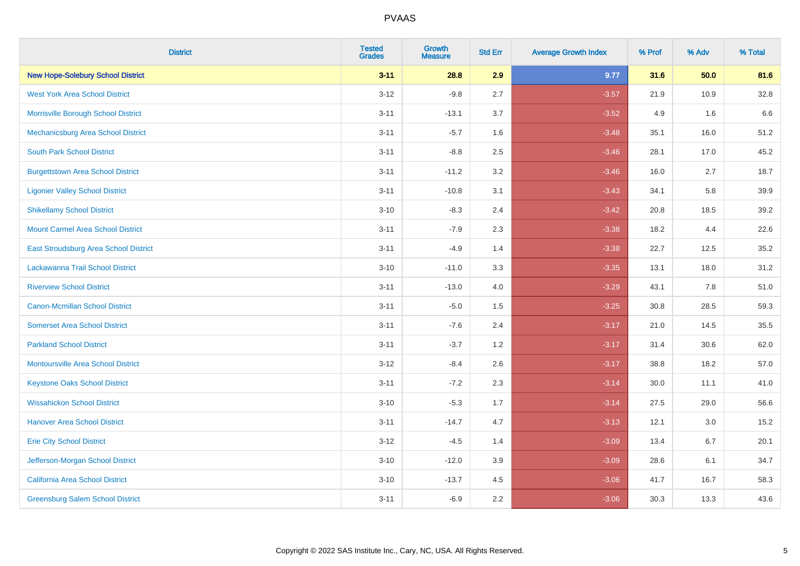| <b>District</b>                              | <b>Tested</b><br><b>Grades</b> | <b>Growth</b><br><b>Measure</b> | <b>Std Err</b> | <b>Average Growth Index</b> | % Prof | % Adv | % Total |
|----------------------------------------------|--------------------------------|---------------------------------|----------------|-----------------------------|--------|-------|---------|
| <b>New Hope-Solebury School District</b>     | $3 - 11$                       | 28.8                            | 2.9            | 9.77                        | 31.6   | 50.0  | 81.6    |
| <b>West York Area School District</b>        | $3 - 12$                       | $-9.8$                          | 2.7            | $-3.57$                     | 21.9   | 10.9  | 32.8    |
| Morrisville Borough School District          | $3 - 11$                       | $-13.1$                         | 3.7            | $-3.52$                     | 4.9    | 1.6   | 6.6     |
| Mechanicsburg Area School District           | $3 - 11$                       | $-5.7$                          | 1.6            | $-3.48$                     | 35.1   | 16.0  | 51.2    |
| <b>South Park School District</b>            | $3 - 11$                       | $-8.8$                          | 2.5            | $-3.46$                     | 28.1   | 17.0  | 45.2    |
| <b>Burgettstown Area School District</b>     | $3 - 11$                       | $-11.2$                         | 3.2            | $-3.46$                     | 16.0   | 2.7   | 18.7    |
| <b>Ligonier Valley School District</b>       | $3 - 11$                       | $-10.8$                         | 3.1            | $-3.43$                     | 34.1   | 5.8   | 39.9    |
| <b>Shikellamy School District</b>            | $3 - 10$                       | $-8.3$                          | 2.4            | $-3.42$                     | 20.8   | 18.5  | 39.2    |
| <b>Mount Carmel Area School District</b>     | $3 - 11$                       | $-7.9$                          | 2.3            | $-3.38$                     | 18.2   | 4.4   | 22.6    |
| <b>East Stroudsburg Area School District</b> | $3 - 11$                       | $-4.9$                          | 1.4            | $-3.38$                     | 22.7   | 12.5  | 35.2    |
| Lackawanna Trail School District             | $3 - 10$                       | $-11.0$                         | 3.3            | $-3.35$                     | 13.1   | 18.0  | 31.2    |
| <b>Riverview School District</b>             | $3 - 11$                       | $-13.0$                         | 4.0            | $-3.29$                     | 43.1   | 7.8   | 51.0    |
| Canon-Mcmillan School District               | $3 - 11$                       | $-5.0$                          | 1.5            | $-3.25$                     | 30.8   | 28.5  | 59.3    |
| <b>Somerset Area School District</b>         | $3 - 11$                       | $-7.6$                          | 2.4            | $-3.17$                     | 21.0   | 14.5  | 35.5    |
| <b>Parkland School District</b>              | $3 - 11$                       | $-3.7$                          | 1.2            | $-3.17$                     | 31.4   | 30.6  | 62.0    |
| <b>Montoursville Area School District</b>    | $3 - 12$                       | $-8.4$                          | 2.6            | $-3.17$                     | 38.8   | 18.2  | 57.0    |
| <b>Keystone Oaks School District</b>         | $3 - 11$                       | $-7.2$                          | 2.3            | $-3.14$                     | 30.0   | 11.1  | 41.0    |
| <b>Wissahickon School District</b>           | $3 - 10$                       | $-5.3$                          | 1.7            | $-3.14$                     | 27.5   | 29.0  | 56.6    |
| <b>Hanover Area School District</b>          | $3 - 11$                       | $-14.7$                         | 4.7            | $-3.13$                     | 12.1   | 3.0   | 15.2    |
| <b>Erie City School District</b>             | $3 - 12$                       | $-4.5$                          | 1.4            | $-3.09$                     | 13.4   | 6.7   | 20.1    |
| Jefferson-Morgan School District             | $3 - 10$                       | $-12.0$                         | 3.9            | $-3.09$                     | 28.6   | 6.1   | 34.7    |
| California Area School District              | $3 - 10$                       | $-13.7$                         | 4.5            | $-3.06$                     | 41.7   | 16.7  | 58.3    |
| <b>Greensburg Salem School District</b>      | $3 - 11$                       | $-6.9$                          | 2.2            | $-3.06$                     | 30.3   | 13.3  | 43.6    |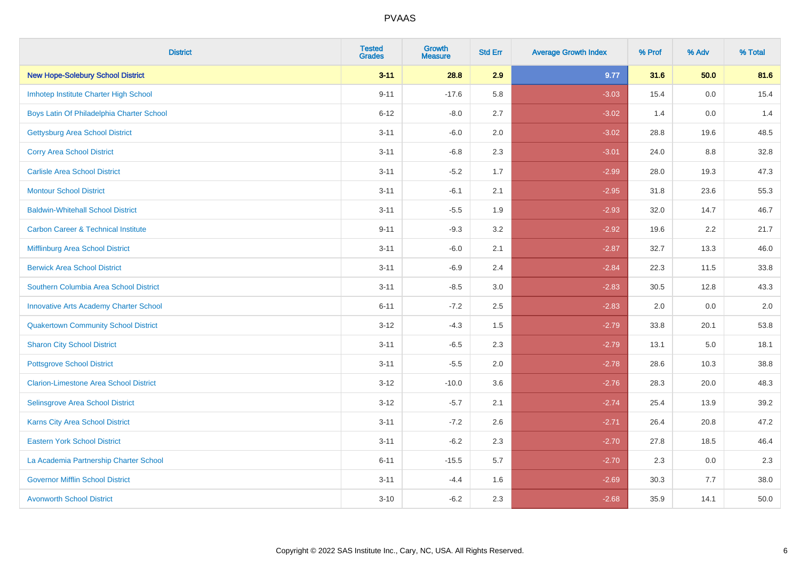| <b>District</b>                                | <b>Tested</b><br><b>Grades</b> | <b>Growth</b><br><b>Measure</b> | <b>Std Err</b> | <b>Average Growth Index</b> | % Prof | % Adv   | % Total |
|------------------------------------------------|--------------------------------|---------------------------------|----------------|-----------------------------|--------|---------|---------|
| <b>New Hope-Solebury School District</b>       | $3 - 11$                       | 28.8                            | 2.9            | 9.77                        | 31.6   | 50.0    | 81.6    |
| Imhotep Institute Charter High School          | $9 - 11$                       | $-17.6$                         | 5.8            | $-3.03$                     | 15.4   | 0.0     | 15.4    |
| Boys Latin Of Philadelphia Charter School      | $6 - 12$                       | $-8.0$                          | 2.7            | $-3.02$                     | 1.4    | 0.0     | 1.4     |
| <b>Gettysburg Area School District</b>         | $3 - 11$                       | $-6.0$                          | 2.0            | $-3.02$                     | 28.8   | 19.6    | 48.5    |
| <b>Corry Area School District</b>              | $3 - 11$                       | $-6.8$                          | 2.3            | $-3.01$                     | 24.0   | 8.8     | 32.8    |
| <b>Carlisle Area School District</b>           | $3 - 11$                       | $-5.2$                          | 1.7            | $-2.99$                     | 28.0   | 19.3    | 47.3    |
| <b>Montour School District</b>                 | $3 - 11$                       | $-6.1$                          | 2.1            | $-2.95$                     | 31.8   | 23.6    | 55.3    |
| <b>Baldwin-Whitehall School District</b>       | $3 - 11$                       | $-5.5$                          | 1.9            | $-2.93$                     | 32.0   | 14.7    | 46.7    |
| <b>Carbon Career &amp; Technical Institute</b> | $9 - 11$                       | $-9.3$                          | 3.2            | $-2.92$                     | 19.6   | 2.2     | 21.7    |
| Mifflinburg Area School District               | $3 - 11$                       | $-6.0$                          | 2.1            | $-2.87$                     | 32.7   | 13.3    | 46.0    |
| <b>Berwick Area School District</b>            | $3 - 11$                       | $-6.9$                          | 2.4            | $-2.84$                     | 22.3   | 11.5    | 33.8    |
| Southern Columbia Area School District         | $3 - 11$                       | $-8.5$                          | 3.0            | $-2.83$                     | 30.5   | 12.8    | 43.3    |
| <b>Innovative Arts Academy Charter School</b>  | $6 - 11$                       | $-7.2$                          | 2.5            | $-2.83$                     | 2.0    | 0.0     | $2.0\,$ |
| <b>Quakertown Community School District</b>    | $3 - 12$                       | $-4.3$                          | $1.5\,$        | $-2.79$                     | 33.8   | 20.1    | 53.8    |
| <b>Sharon City School District</b>             | $3 - 11$                       | $-6.5$                          | 2.3            | $-2.79$                     | 13.1   | $5.0\,$ | 18.1    |
| <b>Pottsgrove School District</b>              | $3 - 11$                       | $-5.5$                          | 2.0            | $-2.78$                     | 28.6   | 10.3    | 38.8    |
| <b>Clarion-Limestone Area School District</b>  | $3 - 12$                       | $-10.0$                         | 3.6            | $-2.76$                     | 28.3   | 20.0    | 48.3    |
| Selinsgrove Area School District               | $3 - 12$                       | $-5.7$                          | 2.1            | $-2.74$                     | 25.4   | 13.9    | 39.2    |
| Karns City Area School District                | $3 - 11$                       | $-7.2$                          | 2.6            | $-2.71$                     | 26.4   | 20.8    | 47.2    |
| <b>Eastern York School District</b>            | $3 - 11$                       | $-6.2$                          | 2.3            | $-2.70$                     | 27.8   | 18.5    | 46.4    |
| La Academia Partnership Charter School         | $6 - 11$                       | $-15.5$                         | 5.7            | $-2.70$                     | 2.3    | 0.0     | 2.3     |
| <b>Governor Mifflin School District</b>        | $3 - 11$                       | $-4.4$                          | 1.6            | $-2.69$                     | 30.3   | 7.7     | 38.0    |
| <b>Avonworth School District</b>               | $3 - 10$                       | $-6.2$                          | 2.3            | $-2.68$                     | 35.9   | 14.1    | 50.0    |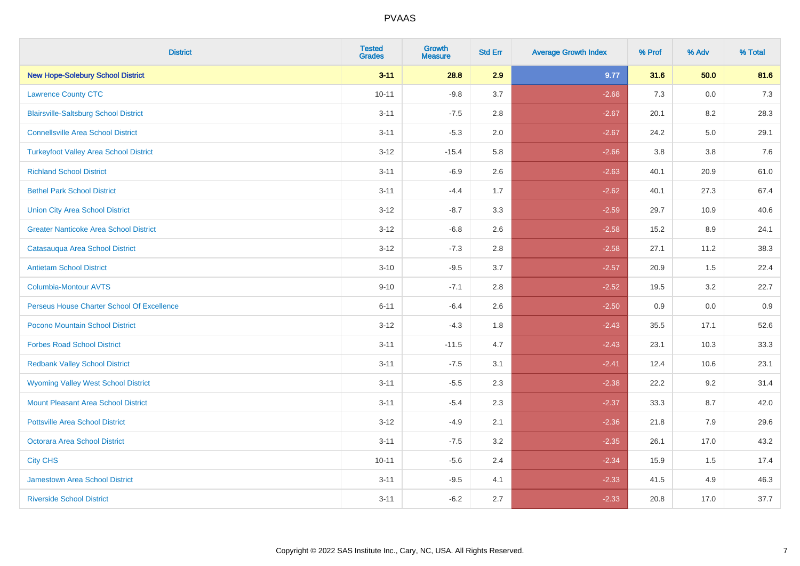| <b>District</b>                               | <b>Tested</b><br><b>Grades</b> | <b>Growth</b><br><b>Measure</b> | <b>Std Err</b> | <b>Average Growth Index</b> | % Prof | % Adv | % Total |
|-----------------------------------------------|--------------------------------|---------------------------------|----------------|-----------------------------|--------|-------|---------|
| <b>New Hope-Solebury School District</b>      | $3 - 11$                       | 28.8                            | 2.9            | 9.77                        | 31.6   | 50.0  | 81.6    |
| <b>Lawrence County CTC</b>                    | $10 - 11$                      | $-9.8$                          | 3.7            | $-2.68$                     | 7.3    | 0.0   | $7.3$   |
| <b>Blairsville-Saltsburg School District</b>  | $3 - 11$                       | $-7.5$                          | 2.8            | $-2.67$                     | 20.1   | 8.2   | 28.3    |
| <b>Connellsville Area School District</b>     | $3 - 11$                       | $-5.3$                          | 2.0            | $-2.67$                     | 24.2   | 5.0   | 29.1    |
| <b>Turkeyfoot Valley Area School District</b> | $3 - 12$                       | $-15.4$                         | 5.8            | $-2.66$                     | 3.8    | 3.8   | 7.6     |
| <b>Richland School District</b>               | $3 - 11$                       | $-6.9$                          | 2.6            | $-2.63$                     | 40.1   | 20.9  | 61.0    |
| <b>Bethel Park School District</b>            | $3 - 11$                       | $-4.4$                          | 1.7            | $-2.62$                     | 40.1   | 27.3  | 67.4    |
| <b>Union City Area School District</b>        | $3 - 12$                       | $-8.7$                          | 3.3            | $-2.59$                     | 29.7   | 10.9  | 40.6    |
| <b>Greater Nanticoke Area School District</b> | $3 - 12$                       | $-6.8$                          | 2.6            | $-2.58$                     | 15.2   | 8.9   | 24.1    |
| Catasauqua Area School District               | $3 - 12$                       | $-7.3$                          | 2.8            | $-2.58$                     | 27.1   | 11.2  | 38.3    |
| <b>Antietam School District</b>               | $3 - 10$                       | $-9.5$                          | 3.7            | $-2.57$                     | 20.9   | 1.5   | 22.4    |
| Columbia-Montour AVTS                         | $9 - 10$                       | $-7.1$                          | 2.8            | $-2.52$                     | 19.5   | 3.2   | 22.7    |
| Perseus House Charter School Of Excellence    | $6 - 11$                       | $-6.4$                          | 2.6            | $-2.50$                     | 0.9    | 0.0   | 0.9     |
| Pocono Mountain School District               | $3 - 12$                       | $-4.3$                          | 1.8            | $-2.43$                     | 35.5   | 17.1  | 52.6    |
| <b>Forbes Road School District</b>            | $3 - 11$                       | $-11.5$                         | 4.7            | $-2.43$                     | 23.1   | 10.3  | 33.3    |
| <b>Redbank Valley School District</b>         | $3 - 11$                       | $-7.5$                          | 3.1            | $-2.41$                     | 12.4   | 10.6  | 23.1    |
| <b>Wyoming Valley West School District</b>    | $3 - 11$                       | $-5.5$                          | 2.3            | $-2.38$                     | 22.2   | 9.2   | 31.4    |
| <b>Mount Pleasant Area School District</b>    | $3 - 11$                       | $-5.4$                          | 2.3            | $-2.37$                     | 33.3   | 8.7   | 42.0    |
| <b>Pottsville Area School District</b>        | $3 - 12$                       | $-4.9$                          | 2.1            | $-2.36$                     | 21.8   | 7.9   | 29.6    |
| Octorara Area School District                 | $3 - 11$                       | $-7.5$                          | 3.2            | $-2.35$                     | 26.1   | 17.0  | 43.2    |
| <b>City CHS</b>                               | $10 - 11$                      | $-5.6$                          | 2.4            | $-2.34$                     | 15.9   | 1.5   | 17.4    |
| <b>Jamestown Area School District</b>         | $3 - 11$                       | $-9.5$                          | 4.1            | $-2.33$                     | 41.5   | 4.9   | 46.3    |
| <b>Riverside School District</b>              | $3 - 11$                       | $-6.2$                          | 2.7            | $-2.33$                     | 20.8   | 17.0  | 37.7    |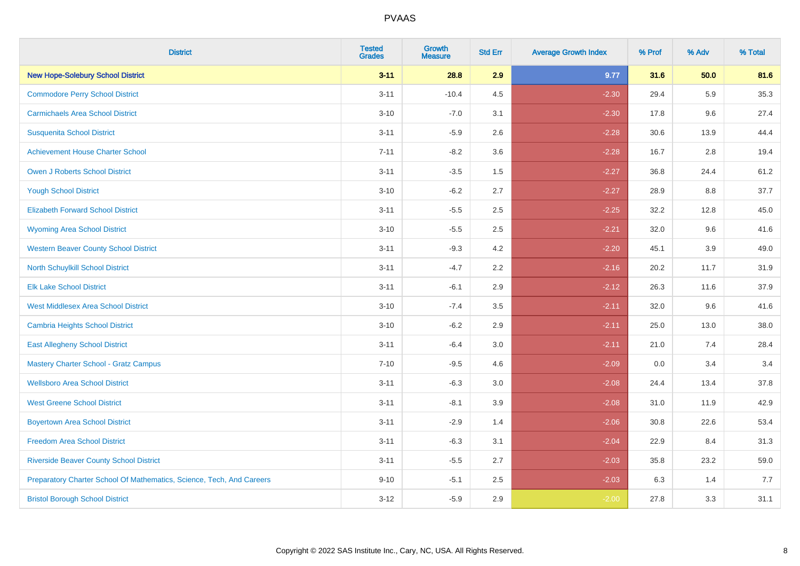| <b>District</b>                                                       | <b>Tested</b><br><b>Grades</b> | <b>Growth</b><br><b>Measure</b> | <b>Std Err</b> | <b>Average Growth Index</b> | % Prof | % Adv | % Total |
|-----------------------------------------------------------------------|--------------------------------|---------------------------------|----------------|-----------------------------|--------|-------|---------|
| <b>New Hope-Solebury School District</b>                              | $3 - 11$                       | 28.8                            | 2.9            | 9.77                        | 31.6   | 50.0  | 81.6    |
| <b>Commodore Perry School District</b>                                | $3 - 11$                       | $-10.4$                         | 4.5            | $-2.30$                     | 29.4   | 5.9   | 35.3    |
| <b>Carmichaels Area School District</b>                               | $3 - 10$                       | $-7.0$                          | 3.1            | $-2.30$                     | 17.8   | 9.6   | 27.4    |
| <b>Susquenita School District</b>                                     | $3 - 11$                       | $-5.9$                          | 2.6            | $-2.28$                     | 30.6   | 13.9  | 44.4    |
| <b>Achievement House Charter School</b>                               | $7 - 11$                       | $-8.2$                          | 3.6            | $-2.28$                     | 16.7   | 2.8   | 19.4    |
| <b>Owen J Roberts School District</b>                                 | $3 - 11$                       | $-3.5$                          | 1.5            | $-2.27$                     | 36.8   | 24.4  | 61.2    |
| <b>Yough School District</b>                                          | $3 - 10$                       | $-6.2$                          | 2.7            | $-2.27$                     | 28.9   | 8.8   | 37.7    |
| <b>Elizabeth Forward School District</b>                              | $3 - 11$                       | $-5.5$                          | 2.5            | $-2.25$                     | 32.2   | 12.8  | 45.0    |
| <b>Wyoming Area School District</b>                                   | $3 - 10$                       | $-5.5$                          | 2.5            | $-2.21$                     | 32.0   | 9.6   | 41.6    |
| <b>Western Beaver County School District</b>                          | $3 - 11$                       | $-9.3$                          | 4.2            | $-2.20$                     | 45.1   | 3.9   | 49.0    |
| <b>North Schuylkill School District</b>                               | $3 - 11$                       | $-4.7$                          | 2.2            | $-2.16$                     | 20.2   | 11.7  | 31.9    |
| <b>Elk Lake School District</b>                                       | $3 - 11$                       | $-6.1$                          | 2.9            | $-2.12$                     | 26.3   | 11.6  | 37.9    |
| <b>West Middlesex Area School District</b>                            | $3 - 10$                       | $-7.4$                          | 3.5            | $-2.11$                     | 32.0   | 9.6   | 41.6    |
| <b>Cambria Heights School District</b>                                | $3 - 10$                       | $-6.2$                          | 2.9            | $-2.11$                     | 25.0   | 13.0  | 38.0    |
| <b>East Allegheny School District</b>                                 | $3 - 11$                       | $-6.4$                          | 3.0            | $-2.11$                     | 21.0   | 7.4   | 28.4    |
| <b>Mastery Charter School - Gratz Campus</b>                          | $7 - 10$                       | $-9.5$                          | 4.6            | $-2.09$                     | 0.0    | 3.4   | 3.4     |
| <b>Wellsboro Area School District</b>                                 | $3 - 11$                       | $-6.3$                          | 3.0            | $-2.08$                     | 24.4   | 13.4  | 37.8    |
| <b>West Greene School District</b>                                    | $3 - 11$                       | $-8.1$                          | 3.9            | $-2.08$                     | 31.0   | 11.9  | 42.9    |
| <b>Boyertown Area School District</b>                                 | $3 - 11$                       | $-2.9$                          | 1.4            | $-2.06$                     | 30.8   | 22.6  | 53.4    |
| <b>Freedom Area School District</b>                                   | $3 - 11$                       | $-6.3$                          | 3.1            | $-2.04$                     | 22.9   | 8.4   | 31.3    |
| <b>Riverside Beaver County School District</b>                        | $3 - 11$                       | $-5.5$                          | 2.7            | $-2.03$                     | 35.8   | 23.2  | 59.0    |
| Preparatory Charter School Of Mathematics, Science, Tech, And Careers | $9 - 10$                       | $-5.1$                          | 2.5            | $-2.03$                     | 6.3    | 1.4   | 7.7     |
| <b>Bristol Borough School District</b>                                | $3-12$                         | $-5.9$                          | 2.9            | $-2.00$                     | 27.8   | 3.3   | 31.1    |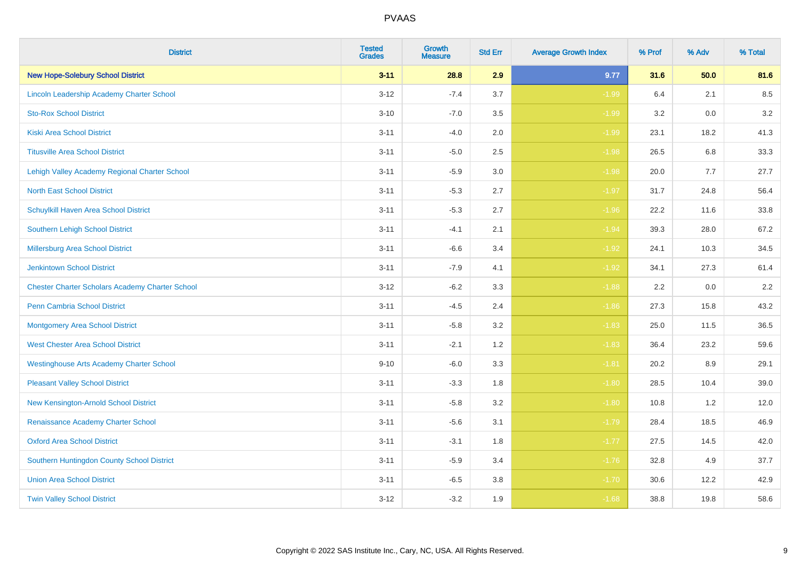| <b>District</b>                                        | <b>Tested</b><br><b>Grades</b> | <b>Growth</b><br><b>Measure</b> | <b>Std Err</b> | <b>Average Growth Index</b> | % Prof | % Adv | % Total |
|--------------------------------------------------------|--------------------------------|---------------------------------|----------------|-----------------------------|--------|-------|---------|
| <b>New Hope-Solebury School District</b>               | $3 - 11$                       | 28.8                            | 2.9            | 9.77                        | 31.6   | 50.0  | 81.6    |
| Lincoln Leadership Academy Charter School              | $3 - 12$                       | $-7.4$                          | 3.7            | $-1.99$                     | 6.4    | 2.1   | 8.5     |
| <b>Sto-Rox School District</b>                         | $3 - 10$                       | $-7.0$                          | 3.5            | $-1.99$                     | 3.2    | 0.0   | 3.2     |
| <b>Kiski Area School District</b>                      | $3 - 11$                       | $-4.0$                          | 2.0            | $-1.99$                     | 23.1   | 18.2  | 41.3    |
| <b>Titusville Area School District</b>                 | $3 - 11$                       | $-5.0$                          | 2.5            | $-1.98$                     | 26.5   | 6.8   | 33.3    |
| Lehigh Valley Academy Regional Charter School          | $3 - 11$                       | $-5.9$                          | 3.0            | $-1.98$                     | 20.0   | 7.7   | 27.7    |
| <b>North East School District</b>                      | $3 - 11$                       | $-5.3$                          | 2.7            | $-1.97$                     | 31.7   | 24.8  | 56.4    |
| <b>Schuylkill Haven Area School District</b>           | $3 - 11$                       | $-5.3$                          | 2.7            | $-1.96$                     | 22.2   | 11.6  | 33.8    |
| Southern Lehigh School District                        | $3 - 11$                       | $-4.1$                          | 2.1            | $-1.94$                     | 39.3   | 28.0  | 67.2    |
| <b>Millersburg Area School District</b>                | $3 - 11$                       | $-6.6$                          | 3.4            | $-1.92$                     | 24.1   | 10.3  | 34.5    |
| <b>Jenkintown School District</b>                      | $3 - 11$                       | $-7.9$                          | 4.1            | $-1.92$                     | 34.1   | 27.3  | 61.4    |
| <b>Chester Charter Scholars Academy Charter School</b> | $3 - 12$                       | $-6.2$                          | 3.3            | $-1.88$                     | 2.2    | 0.0   | 2.2     |
| Penn Cambria School District                           | $3 - 11$                       | $-4.5$                          | 2.4            | $-1.86$                     | 27.3   | 15.8  | 43.2    |
| <b>Montgomery Area School District</b>                 | $3 - 11$                       | $-5.8$                          | 3.2            | $-1.83$                     | 25.0   | 11.5  | 36.5    |
| <b>West Chester Area School District</b>               | $3 - 11$                       | $-2.1$                          | 1.2            | $-1.83$                     | 36.4   | 23.2  | 59.6    |
| <b>Westinghouse Arts Academy Charter School</b>        | $9 - 10$                       | $-6.0$                          | 3.3            | $-1.81$                     | 20.2   | 8.9   | 29.1    |
| <b>Pleasant Valley School District</b>                 | $3 - 11$                       | $-3.3$                          | 1.8            | $-1.80$                     | 28.5   | 10.4  | 39.0    |
| New Kensington-Arnold School District                  | $3 - 11$                       | $-5.8$                          | 3.2            | $-1.80$                     | 10.8   | 1.2   | 12.0    |
| Renaissance Academy Charter School                     | $3 - 11$                       | $-5.6$                          | 3.1            | $-1.79$                     | 28.4   | 18.5  | 46.9    |
| <b>Oxford Area School District</b>                     | $3 - 11$                       | $-3.1$                          | 1.8            | $-1.77$                     | 27.5   | 14.5  | 42.0    |
| Southern Huntingdon County School District             | $3 - 11$                       | $-5.9$                          | 3.4            | $-1.76$                     | 32.8   | 4.9   | 37.7    |
| <b>Union Area School District</b>                      | $3 - 11$                       | $-6.5$                          | 3.8            | $-1.70$                     | 30.6   | 12.2  | 42.9    |
| <b>Twin Valley School District</b>                     | $3 - 12$                       | $-3.2$                          | 1.9            | $-1.68$                     | 38.8   | 19.8  | 58.6    |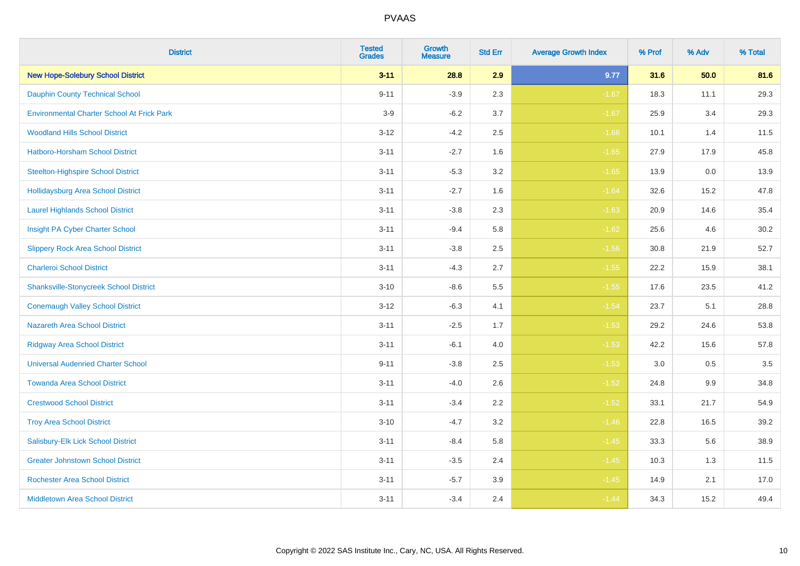| <b>District</b>                                   | <b>Tested</b><br><b>Grades</b> | <b>Growth</b><br><b>Measure</b> | <b>Std Err</b> | <b>Average Growth Index</b> | % Prof | % Adv | % Total |
|---------------------------------------------------|--------------------------------|---------------------------------|----------------|-----------------------------|--------|-------|---------|
| <b>New Hope-Solebury School District</b>          | $3 - 11$                       | 28.8                            | 2.9            | 9.77                        | 31.6   | 50.0  | 81.6    |
| <b>Dauphin County Technical School</b>            | $9 - 11$                       | $-3.9$                          | 2.3            | $-1.67$                     | 18.3   | 11.1  | 29.3    |
| <b>Environmental Charter School At Frick Park</b> | $3-9$                          | $-6.2$                          | 3.7            | $-1.67$                     | 25.9   | 3.4   | 29.3    |
| <b>Woodland Hills School District</b>             | $3 - 12$                       | $-4.2$                          | 2.5            | $-1.66$                     | 10.1   | 1.4   | 11.5    |
| Hatboro-Horsham School District                   | $3 - 11$                       | $-2.7$                          | 1.6            | $-1.65$                     | 27.9   | 17.9  | 45.8    |
| <b>Steelton-Highspire School District</b>         | $3 - 11$                       | $-5.3$                          | 3.2            | $-1.65$                     | 13.9   | 0.0   | 13.9    |
| <b>Hollidaysburg Area School District</b>         | $3 - 11$                       | $-2.7$                          | 1.6            | $-1.64$                     | 32.6   | 15.2  | 47.8    |
| <b>Laurel Highlands School District</b>           | $3 - 11$                       | $-3.8$                          | 2.3            | $-1.63$                     | 20.9   | 14.6  | 35.4    |
| Insight PA Cyber Charter School                   | $3 - 11$                       | $-9.4$                          | 5.8            | $-1.62$                     | 25.6   | 4.6   | 30.2    |
| <b>Slippery Rock Area School District</b>         | $3 - 11$                       | $-3.8$                          | 2.5            | $-1.56$                     | 30.8   | 21.9  | 52.7    |
| <b>Charleroi School District</b>                  | $3 - 11$                       | $-4.3$                          | 2.7            | $-1.55$                     | 22.2   | 15.9  | 38.1    |
| <b>Shanksville-Stonycreek School District</b>     | $3 - 10$                       | $-8.6$                          | 5.5            | $-1.55$                     | 17.6   | 23.5  | 41.2    |
| <b>Conemaugh Valley School District</b>           | $3 - 12$                       | $-6.3$                          | 4.1            | $-1.54$                     | 23.7   | 5.1   | 28.8    |
| <b>Nazareth Area School District</b>              | $3 - 11$                       | $-2.5$                          | 1.7            | $-1.53$                     | 29.2   | 24.6  | 53.8    |
| <b>Ridgway Area School District</b>               | $3 - 11$                       | $-6.1$                          | 4.0            | $-1.53$                     | 42.2   | 15.6  | 57.8    |
| <b>Universal Audenried Charter School</b>         | $9 - 11$                       | $-3.8$                          | 2.5            | $-1.53$                     | 3.0    | 0.5   | 3.5     |
| <b>Towanda Area School District</b>               | $3 - 11$                       | $-4.0$                          | 2.6            | $-1.52$                     | 24.8   | 9.9   | 34.8    |
| <b>Crestwood School District</b>                  | $3 - 11$                       | $-3.4$                          | 2.2            | $-1.52$                     | 33.1   | 21.7  | 54.9    |
| <b>Troy Area School District</b>                  | $3 - 10$                       | $-4.7$                          | 3.2            | $-1.46$                     | 22.8   | 16.5  | 39.2    |
| Salisbury-Elk Lick School District                | $3 - 11$                       | $-8.4$                          | 5.8            | $-1.45$                     | 33.3   | 5.6   | 38.9    |
| <b>Greater Johnstown School District</b>          | $3 - 11$                       | $-3.5$                          | 2.4            | $-1.45$                     | 10.3   | 1.3   | 11.5    |
| <b>Rochester Area School District</b>             | $3 - 11$                       | $-5.7$                          | 3.9            | $-1.45$                     | 14.9   | 2.1   | 17.0    |
| <b>Middletown Area School District</b>            | $3 - 11$                       | $-3.4$                          | 2.4            | $-1.44$                     | 34.3   | 15.2  | 49.4    |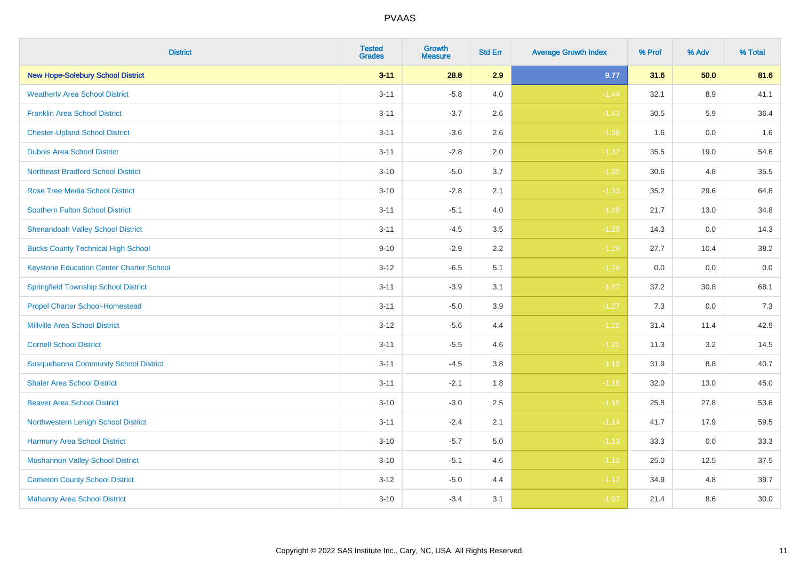| <b>District</b>                                 | <b>Tested</b><br><b>Grades</b> | Growth<br><b>Measure</b> | <b>Std Err</b> | <b>Average Growth Index</b> | % Prof | % Adv | % Total |
|-------------------------------------------------|--------------------------------|--------------------------|----------------|-----------------------------|--------|-------|---------|
| <b>New Hope-Solebury School District</b>        | $3 - 11$                       | 28.8                     | 2.9            | 9.77                        | 31.6   | 50.0  | 81.6    |
| <b>Weatherly Area School District</b>           | $3 - 11$                       | $-5.8$                   | 4.0            | $-1.44$                     | 32.1   | 8.9   | 41.1    |
| <b>Franklin Area School District</b>            | $3 - 11$                       | $-3.7$                   | 2.6            | $-1.43$                     | 30.5   | 5.9   | 36.4    |
| <b>Chester-Upland School District</b>           | $3 - 11$                       | $-3.6$                   | 2.6            | $-1.38$                     | 1.6    | 0.0   | 1.6     |
| <b>Dubois Area School District</b>              | $3 - 11$                       | $-2.8$                   | 2.0            | $-1.37$                     | 35.5   | 19.0  | 54.6    |
| <b>Northeast Bradford School District</b>       | $3 - 10$                       | $-5.0$                   | 3.7            | $-1.35$                     | 30.6   | 4.8   | 35.5    |
| <b>Rose Tree Media School District</b>          | $3 - 10$                       | $-2.8$                   | 2.1            | $-1.33$                     | 35.2   | 29.6  | 64.8    |
| <b>Southern Fulton School District</b>          | $3 - 11$                       | $-5.1$                   | 4.0            | $-1.29$                     | 21.7   | 13.0  | 34.8    |
| <b>Shenandoah Valley School District</b>        | $3 - 11$                       | $-4.5$                   | 3.5            | $-1.29$                     | 14.3   | 0.0   | 14.3    |
| <b>Bucks County Technical High School</b>       | $9 - 10$                       | $-2.9$                   | 2.2            | $-1.29$                     | 27.7   | 10.4  | 38.2    |
| <b>Keystone Education Center Charter School</b> | $3 - 12$                       | $-6.5$                   | 5.1            | $-1.28$                     | 0.0    | 0.0   | $0.0\,$ |
| <b>Springfield Township School District</b>     | $3 - 11$                       | $-3.9$                   | 3.1            | $-1.27$                     | 37.2   | 30.8  | 68.1    |
| <b>Propel Charter School-Homestead</b>          | $3 - 11$                       | $-5.0$                   | 3.9            | $-1.27$                     | 7.3    | 0.0   | 7.3     |
| <b>Millville Area School District</b>           | $3 - 12$                       | $-5.6$                   | 4.4            | $-1.26$                     | 31.4   | 11.4  | 42.9    |
| <b>Cornell School District</b>                  | $3 - 11$                       | $-5.5$                   | 4.6            | $-1.20$                     | 11.3   | 3.2   | 14.5    |
| <b>Susquehanna Community School District</b>    | $3 - 11$                       | $-4.5$                   | 3.8            | $-1.19$                     | 31.9   | 8.8   | 40.7    |
| <b>Shaler Area School District</b>              | $3 - 11$                       | $-2.1$                   | 1.8            | $-1.18$                     | 32.0   | 13.0  | 45.0    |
| <b>Beaver Area School District</b>              | $3 - 10$                       | $-3.0$                   | 2.5            | $-1.16$                     | 25.8   | 27.8  | 53.6    |
| Northwestern Lehigh School District             | $3 - 11$                       | $-2.4$                   | 2.1            | $-1.14$                     | 41.7   | 17.9  | 59.5    |
| Harmony Area School District                    | $3 - 10$                       | $-5.7$                   | 5.0            | $-1.13$                     | 33.3   | 0.0   | 33.3    |
| <b>Moshannon Valley School District</b>         | $3 - 10$                       | $-5.1$                   | 4.6            | $-1.12$                     | 25.0   | 12.5  | 37.5    |
| <b>Cameron County School District</b>           | $3 - 12$                       | $-5.0$                   | 4.4            | $-1.12$                     | 34.9   | 4.8   | 39.7    |
| <b>Mahanoy Area School District</b>             | $3 - 10$                       | $-3.4$                   | 3.1            | $-1.07$                     | 21.4   | 8.6   | 30.0    |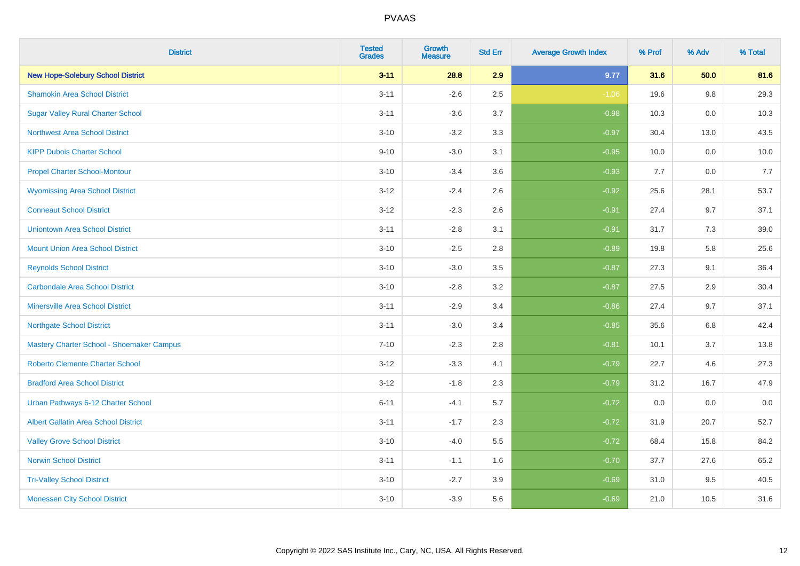| <b>District</b>                             | <b>Tested</b><br><b>Grades</b> | <b>Growth</b><br><b>Measure</b> | <b>Std Err</b> | <b>Average Growth Index</b> | % Prof | % Adv   | % Total |
|---------------------------------------------|--------------------------------|---------------------------------|----------------|-----------------------------|--------|---------|---------|
| <b>New Hope-Solebury School District</b>    | $3 - 11$                       | 28.8                            | 2.9            | 9.77                        | 31.6   | 50.0    | 81.6    |
| <b>Shamokin Area School District</b>        | $3 - 11$                       | $-2.6$                          | 2.5            | $-1.06$                     | 19.6   | $9.8\,$ | 29.3    |
| <b>Sugar Valley Rural Charter School</b>    | $3 - 11$                       | $-3.6$                          | 3.7            | $-0.98$                     | 10.3   | 0.0     | 10.3    |
| <b>Northwest Area School District</b>       | $3 - 10$                       | $-3.2$                          | 3.3            | $-0.97$                     | 30.4   | 13.0    | 43.5    |
| <b>KIPP Dubois Charter School</b>           | $9 - 10$                       | $-3.0$                          | 3.1            | $-0.95$                     | 10.0   | 0.0     | 10.0    |
| <b>Propel Charter School-Montour</b>        | $3 - 10$                       | $-3.4$                          | 3.6            | $-0.93$                     | 7.7    | 0.0     | 7.7     |
| <b>Wyomissing Area School District</b>      | $3 - 12$                       | $-2.4$                          | 2.6            | $-0.92$                     | 25.6   | 28.1    | 53.7    |
| <b>Conneaut School District</b>             | $3 - 12$                       | $-2.3$                          | 2.6            | $-0.91$                     | 27.4   | 9.7     | 37.1    |
| <b>Uniontown Area School District</b>       | $3 - 11$                       | $-2.8$                          | 3.1            | $-0.91$                     | 31.7   | 7.3     | 39.0    |
| <b>Mount Union Area School District</b>     | $3 - 10$                       | $-2.5$                          | 2.8            | $-0.89$                     | 19.8   | 5.8     | 25.6    |
| <b>Reynolds School District</b>             | $3 - 10$                       | $-3.0$                          | 3.5            | $-0.87$                     | 27.3   | 9.1     | 36.4    |
| Carbondale Area School District             | $3 - 10$                       | $-2.8$                          | 3.2            | $-0.87$                     | 27.5   | 2.9     | 30.4    |
| <b>Minersville Area School District</b>     | $3 - 11$                       | $-2.9$                          | 3.4            | $-0.86$                     | 27.4   | 9.7     | 37.1    |
| <b>Northgate School District</b>            | $3 - 11$                       | $-3.0$                          | 3.4            | $-0.85$                     | 35.6   | 6.8     | 42.4    |
| Mastery Charter School - Shoemaker Campus   | $7 - 10$                       | $-2.3$                          | 2.8            | $-0.81$                     | 10.1   | 3.7     | 13.8    |
| <b>Roberto Clemente Charter School</b>      | $3 - 12$                       | $-3.3$                          | 4.1            | $-0.79$                     | 22.7   | 4.6     | 27.3    |
| <b>Bradford Area School District</b>        | $3 - 12$                       | $-1.8$                          | 2.3            | $-0.79$                     | 31.2   | 16.7    | 47.9    |
| Urban Pathways 6-12 Charter School          | $6 - 11$                       | $-4.1$                          | 5.7            | $-0.72$                     | 0.0    | 0.0     | $0.0\,$ |
| <b>Albert Gallatin Area School District</b> | $3 - 11$                       | $-1.7$                          | 2.3            | $-0.72$                     | 31.9   | 20.7    | 52.7    |
| <b>Valley Grove School District</b>         | $3 - 10$                       | $-4.0$                          | 5.5            | $-0.72$                     | 68.4   | 15.8    | 84.2    |
| <b>Norwin School District</b>               | $3 - 11$                       | $-1.1$                          | 1.6            | $-0.70$                     | 37.7   | 27.6    | 65.2    |
| <b>Tri-Valley School District</b>           | $3 - 10$                       | $-2.7$                          | 3.9            | $-0.69$                     | 31.0   | 9.5     | 40.5    |
| <b>Monessen City School District</b>        | $3 - 10$                       | $-3.9$                          | 5.6            | $-0.69$                     | 21.0   | 10.5    | 31.6    |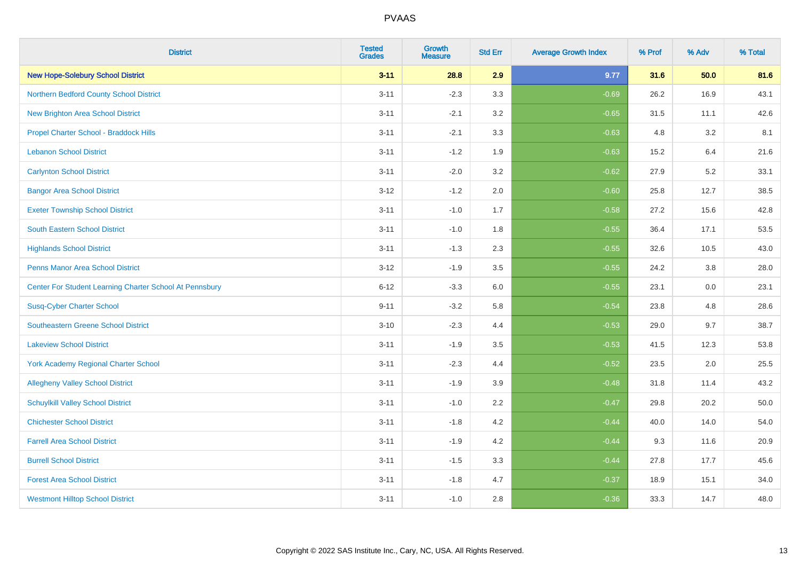| <b>District</b>                                         | <b>Tested</b><br><b>Grades</b> | <b>Growth</b><br><b>Measure</b> | <b>Std Err</b> | <b>Average Growth Index</b> | % Prof | % Adv | % Total |
|---------------------------------------------------------|--------------------------------|---------------------------------|----------------|-----------------------------|--------|-------|---------|
| <b>New Hope-Solebury School District</b>                | $3 - 11$                       | 28.8                            | 2.9            | 9.77                        | 31.6   | 50.0  | 81.6    |
| Northern Bedford County School District                 | $3 - 11$                       | $-2.3$                          | 3.3            | $-0.69$                     | 26.2   | 16.9  | 43.1    |
| <b>New Brighton Area School District</b>                | $3 - 11$                       | $-2.1$                          | 3.2            | $-0.65$                     | 31.5   | 11.1  | 42.6    |
| Propel Charter School - Braddock Hills                  | $3 - 11$                       | $-2.1$                          | 3.3            | $-0.63$                     | 4.8    | 3.2   | 8.1     |
| <b>Lebanon School District</b>                          | $3 - 11$                       | $-1.2$                          | 1.9            | $-0.63$                     | 15.2   | 6.4   | 21.6    |
| <b>Carlynton School District</b>                        | $3 - 11$                       | $-2.0$                          | 3.2            | $-0.62$                     | 27.9   | 5.2   | 33.1    |
| <b>Bangor Area School District</b>                      | $3 - 12$                       | $-1.2$                          | 2.0            | $-0.60$                     | 25.8   | 12.7  | 38.5    |
| <b>Exeter Township School District</b>                  | $3 - 11$                       | $-1.0$                          | 1.7            | $-0.58$                     | 27.2   | 15.6  | 42.8    |
| <b>South Eastern School District</b>                    | $3 - 11$                       | $-1.0$                          | 1.8            | $-0.55$                     | 36.4   | 17.1  | 53.5    |
| <b>Highlands School District</b>                        | $3 - 11$                       | $-1.3$                          | 2.3            | $-0.55$                     | 32.6   | 10.5  | 43.0    |
| <b>Penns Manor Area School District</b>                 | $3 - 12$                       | $-1.9$                          | 3.5            | $-0.55$                     | 24.2   | 3.8   | 28.0    |
| Center For Student Learning Charter School At Pennsbury | $6 - 12$                       | $-3.3$                          | 6.0            | $-0.55$                     | 23.1   | 0.0   | 23.1    |
| <b>Susq-Cyber Charter School</b>                        | $9 - 11$                       | $-3.2$                          | 5.8            | $-0.54$                     | 23.8   | 4.8   | 28.6    |
| <b>Southeastern Greene School District</b>              | $3 - 10$                       | $-2.3$                          | 4.4            | $-0.53$                     | 29.0   | 9.7   | 38.7    |
| <b>Lakeview School District</b>                         | $3 - 11$                       | $-1.9$                          | 3.5            | $-0.53$                     | 41.5   | 12.3  | 53.8    |
| <b>York Academy Regional Charter School</b>             | $3 - 11$                       | $-2.3$                          | 4.4            | $-0.52$                     | 23.5   | 2.0   | 25.5    |
| <b>Allegheny Valley School District</b>                 | $3 - 11$                       | $-1.9$                          | 3.9            | $-0.48$                     | 31.8   | 11.4  | 43.2    |
| <b>Schuylkill Valley School District</b>                | $3 - 11$                       | $-1.0$                          | 2.2            | $-0.47$                     | 29.8   | 20.2  | 50.0    |
| <b>Chichester School District</b>                       | $3 - 11$                       | $-1.8$                          | 4.2            | $-0.44$                     | 40.0   | 14.0  | 54.0    |
| <b>Farrell Area School District</b>                     | $3 - 11$                       | $-1.9$                          | 4.2            | $-0.44$                     | 9.3    | 11.6  | 20.9    |
| <b>Burrell School District</b>                          | $3 - 11$                       | $-1.5$                          | 3.3            | $-0.44$                     | 27.8   | 17.7  | 45.6    |
| <b>Forest Area School District</b>                      | $3 - 11$                       | $-1.8$                          | 4.7            | $-0.37$                     | 18.9   | 15.1  | 34.0    |
| <b>Westmont Hilltop School District</b>                 | $3 - 11$                       | $-1.0$                          | 2.8            | $-0.36$                     | 33.3   | 14.7  | 48.0    |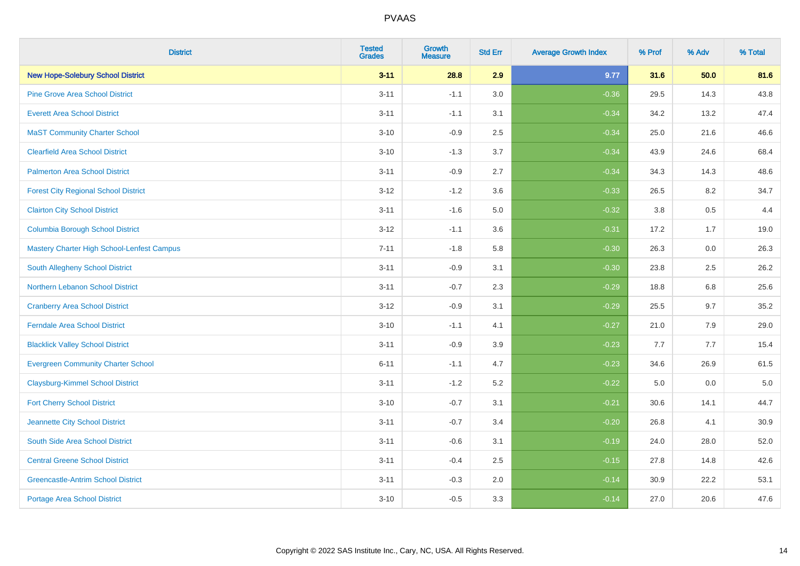| <b>District</b>                             | <b>Tested</b><br><b>Grades</b> | <b>Growth</b><br><b>Measure</b> | <b>Std Err</b> | <b>Average Growth Index</b> | % Prof | % Adv | % Total |
|---------------------------------------------|--------------------------------|---------------------------------|----------------|-----------------------------|--------|-------|---------|
| <b>New Hope-Solebury School District</b>    | $3 - 11$                       | 28.8                            | 2.9            | 9.77                        | 31.6   | 50.0  | 81.6    |
| <b>Pine Grove Area School District</b>      | $3 - 11$                       | $-1.1$                          | 3.0            | $-0.36$                     | 29.5   | 14.3  | 43.8    |
| <b>Everett Area School District</b>         | $3 - 11$                       | $-1.1$                          | 3.1            | $-0.34$                     | 34.2   | 13.2  | 47.4    |
| <b>MaST Community Charter School</b>        | $3 - 10$                       | $-0.9$                          | 2.5            | $-0.34$                     | 25.0   | 21.6  | 46.6    |
| <b>Clearfield Area School District</b>      | $3 - 10$                       | $-1.3$                          | 3.7            | $-0.34$                     | 43.9   | 24.6  | 68.4    |
| <b>Palmerton Area School District</b>       | $3 - 11$                       | $-0.9$                          | 2.7            | $-0.34$                     | 34.3   | 14.3  | 48.6    |
| <b>Forest City Regional School District</b> | $3 - 12$                       | $-1.2$                          | 3.6            | $-0.33$                     | 26.5   | 8.2   | 34.7    |
| <b>Clairton City School District</b>        | $3 - 11$                       | $-1.6$                          | 5.0            | $-0.32$                     | 3.8    | 0.5   | 4.4     |
| <b>Columbia Borough School District</b>     | $3 - 12$                       | $-1.1$                          | 3.6            | $-0.31$                     | 17.2   | 1.7   | 19.0    |
| Mastery Charter High School-Lenfest Campus  | $7 - 11$                       | $-1.8$                          | 5.8            | $-0.30$                     | 26.3   | 0.0   | 26.3    |
| South Allegheny School District             | $3 - 11$                       | $-0.9$                          | 3.1            | $-0.30$                     | 23.8   | 2.5   | 26.2    |
| <b>Northern Lebanon School District</b>     | $3 - 11$                       | $-0.7$                          | 2.3            | $-0.29$                     | 18.8   | 6.8   | 25.6    |
| <b>Cranberry Area School District</b>       | $3 - 12$                       | $-0.9$                          | 3.1            | $-0.29$                     | 25.5   | 9.7   | 35.2    |
| Ferndale Area School District               | $3 - 10$                       | $-1.1$                          | 4.1            | $-0.27$                     | 21.0   | 7.9   | 29.0    |
| <b>Blacklick Valley School District</b>     | $3 - 11$                       | $-0.9$                          | 3.9            | $-0.23$                     | 7.7    | 7.7   | 15.4    |
| <b>Evergreen Community Charter School</b>   | $6 - 11$                       | $-1.1$                          | 4.7            | $-0.23$                     | 34.6   | 26.9  | 61.5    |
| <b>Claysburg-Kimmel School District</b>     | $3 - 11$                       | $-1.2$                          | 5.2            | $-0.22$                     | 5.0    | 0.0   | $5.0$   |
| <b>Fort Cherry School District</b>          | $3 - 10$                       | $-0.7$                          | 3.1            | $-0.21$                     | 30.6   | 14.1  | 44.7    |
| Jeannette City School District              | $3 - 11$                       | $-0.7$                          | 3.4            | $-0.20$                     | 26.8   | 4.1   | 30.9    |
| South Side Area School District             | $3 - 11$                       | $-0.6$                          | 3.1            | $-0.19$                     | 24.0   | 28.0  | 52.0    |
| <b>Central Greene School District</b>       | $3 - 11$                       | $-0.4$                          | 2.5            | $-0.15$                     | 27.8   | 14.8  | 42.6    |
| <b>Greencastle-Antrim School District</b>   | $3 - 11$                       | $-0.3$                          | 2.0            | $-0.14$                     | 30.9   | 22.2  | 53.1    |
| <b>Portage Area School District</b>         | $3 - 10$                       | $-0.5$                          | 3.3            | $-0.14$                     | 27.0   | 20.6  | 47.6    |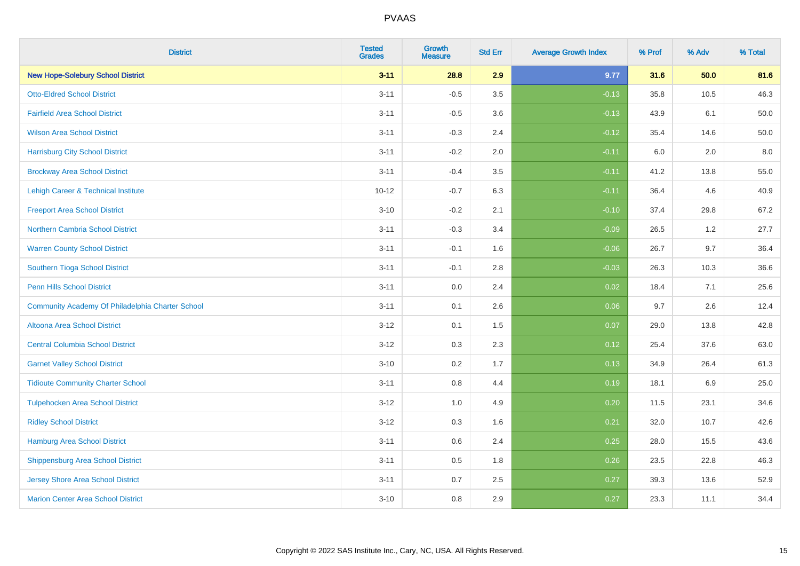| <b>District</b>                                  | <b>Tested</b><br><b>Grades</b> | <b>Growth</b><br><b>Measure</b> | <b>Std Err</b> | <b>Average Growth Index</b> | % Prof | % Adv | % Total |
|--------------------------------------------------|--------------------------------|---------------------------------|----------------|-----------------------------|--------|-------|---------|
| <b>New Hope-Solebury School District</b>         | $3 - 11$                       | 28.8                            | 2.9            | 9.77                        | 31.6   | 50.0  | 81.6    |
| <b>Otto-Eldred School District</b>               | $3 - 11$                       | $-0.5$                          | 3.5            | $-0.13$                     | 35.8   | 10.5  | 46.3    |
| <b>Fairfield Area School District</b>            | $3 - 11$                       | $-0.5$                          | 3.6            | $-0.13$                     | 43.9   | 6.1   | 50.0    |
| <b>Wilson Area School District</b>               | $3 - 11$                       | $-0.3$                          | 2.4            | $-0.12$                     | 35.4   | 14.6  | 50.0    |
| <b>Harrisburg City School District</b>           | $3 - 11$                       | $-0.2$                          | 2.0            | $-0.11$                     | 6.0    | 2.0   | 8.0     |
| <b>Brockway Area School District</b>             | $3 - 11$                       | $-0.4$                          | 3.5            | $-0.11$                     | 41.2   | 13.8  | 55.0    |
| Lehigh Career & Technical Institute              | $10 - 12$                      | $-0.7$                          | 6.3            | $-0.11$                     | 36.4   | 4.6   | 40.9    |
| <b>Freeport Area School District</b>             | $3 - 10$                       | $-0.2$                          | 2.1            | $-0.10$                     | 37.4   | 29.8  | 67.2    |
| <b>Northern Cambria School District</b>          | $3 - 11$                       | $-0.3$                          | 3.4            | $-0.09$                     | 26.5   | 1.2   | 27.7    |
| <b>Warren County School District</b>             | $3 - 11$                       | $-0.1$                          | 1.6            | $-0.06$                     | 26.7   | 9.7   | 36.4    |
| Southern Tioga School District                   | $3 - 11$                       | $-0.1$                          | 2.8            | $-0.03$                     | 26.3   | 10.3  | 36.6    |
| <b>Penn Hills School District</b>                | $3 - 11$                       | 0.0                             | 2.4            | 0.02                        | 18.4   | 7.1   | 25.6    |
| Community Academy Of Philadelphia Charter School | $3 - 11$                       | 0.1                             | 2.6            | 0.06                        | 9.7    | 2.6   | 12.4    |
| Altoona Area School District                     | $3 - 12$                       | 0.1                             | 1.5            | 0.07                        | 29.0   | 13.8  | 42.8    |
| <b>Central Columbia School District</b>          | $3 - 12$                       | 0.3                             | 2.3            | 0.12                        | 25.4   | 37.6  | 63.0    |
| <b>Garnet Valley School District</b>             | $3 - 10$                       | 0.2                             | 1.7            | 0.13                        | 34.9   | 26.4  | 61.3    |
| <b>Tidioute Community Charter School</b>         | $3 - 11$                       | 0.8                             | 4.4            | 0.19                        | 18.1   | 6.9   | 25.0    |
| <b>Tulpehocken Area School District</b>          | $3 - 12$                       | 1.0                             | 4.9            | 0.20                        | 11.5   | 23.1  | 34.6    |
| <b>Ridley School District</b>                    | $3 - 12$                       | 0.3                             | 1.6            | 0.21                        | 32.0   | 10.7  | 42.6    |
| <b>Hamburg Area School District</b>              | $3 - 11$                       | 0.6                             | 2.4            | 0.25                        | 28.0   | 15.5  | 43.6    |
| <b>Shippensburg Area School District</b>         | $3 - 11$                       | 0.5                             | 1.8            | 0.26                        | 23.5   | 22.8  | 46.3    |
| Jersey Shore Area School District                | $3 - 11$                       | 0.7                             | 2.5            | 0.27                        | 39.3   | 13.6  | 52.9    |
| <b>Marion Center Area School District</b>        | $3 - 10$                       | 0.8                             | 2.9            | 0.27                        | 23.3   | 11.1  | 34.4    |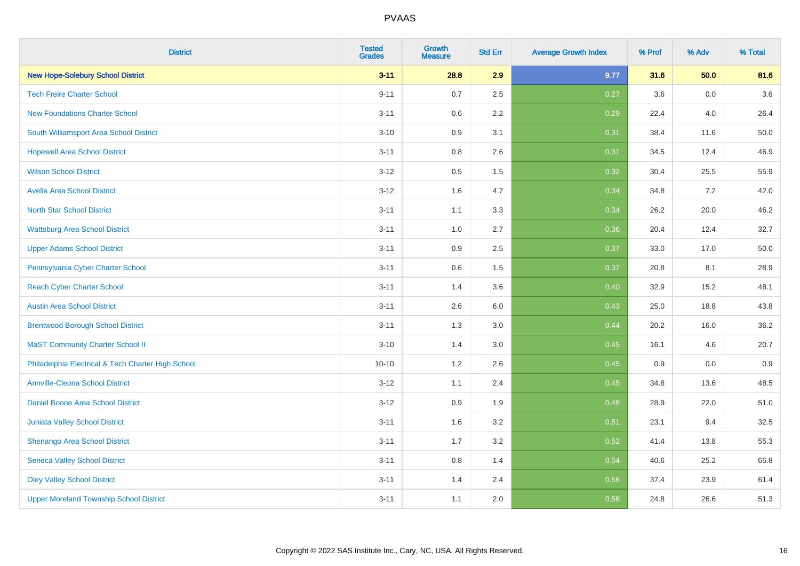| <b>District</b>                                    | <b>Tested</b><br><b>Grades</b> | <b>Growth</b><br><b>Measure</b> | <b>Std Err</b> | <b>Average Growth Index</b> | % Prof | % Adv | % Total |
|----------------------------------------------------|--------------------------------|---------------------------------|----------------|-----------------------------|--------|-------|---------|
| <b>New Hope-Solebury School District</b>           | $3 - 11$                       | 28.8                            | 2.9            | 9.77                        | 31.6   | 50.0  | 81.6    |
| <b>Tech Freire Charter School</b>                  | $9 - 11$                       | 0.7                             | 2.5            | 0.27                        | 3.6    | 0.0   | 3.6     |
| <b>New Foundations Charter School</b>              | $3 - 11$                       | 0.6                             | 2.2            | 0.29                        | 22.4   | 4.0   | 26.4    |
| South Williamsport Area School District            | $3 - 10$                       | 0.9                             | 3.1            | 0.31                        | 38.4   | 11.6  | 50.0    |
| <b>Hopewell Area School District</b>               | $3 - 11$                       | 0.8                             | 2.6            | 0.31                        | 34.5   | 12.4  | 46.9    |
| <b>Wilson School District</b>                      | $3 - 12$                       | $0.5\,$                         | 1.5            | 0.32                        | 30.4   | 25.5  | 55.9    |
| <b>Avella Area School District</b>                 | $3 - 12$                       | 1.6                             | 4.7            | 0.34                        | 34.8   | 7.2   | 42.0    |
| <b>North Star School District</b>                  | $3 - 11$                       | 1.1                             | 3.3            | 0.34                        | 26.2   | 20.0  | 46.2    |
| <b>Wattsburg Area School District</b>              | $3 - 11$                       | 1.0                             | 2.7            | 0.36                        | 20.4   | 12.4  | 32.7    |
| <b>Upper Adams School District</b>                 | $3 - 11$                       | $0.9\,$                         | 2.5            | 0.37                        | 33.0   | 17.0  | 50.0    |
| Pennsylvania Cyber Charter School                  | $3 - 11$                       | 0.6                             | 1.5            | 0.37                        | 20.8   | 8.1   | 28.9    |
| <b>Reach Cyber Charter School</b>                  | $3 - 11$                       | 1.4                             | 3.6            | 0.40                        | 32.9   | 15.2  | 48.1    |
| <b>Austin Area School District</b>                 | $3 - 11$                       | 2.6                             | 6.0            | 0.43                        | 25.0   | 18.8  | 43.8    |
| <b>Brentwood Borough School District</b>           | $3 - 11$                       | 1.3                             | 3.0            | 0.44                        | 20.2   | 16.0  | 36.2    |
| <b>MaST Community Charter School II</b>            | $3 - 10$                       | 1.4                             | 3.0            | 0.45                        | 16.1   | 4.6   | 20.7    |
| Philadelphia Electrical & Tech Charter High School | $10 - 10$                      | 1.2                             | 2.6            | 0.45                        | 0.9    | 0.0   | 0.9     |
| <b>Annville-Cleona School District</b>             | $3 - 12$                       | 1.1                             | 2.4            | 0.45                        | 34.8   | 13.6  | 48.5    |
| Daniel Boone Area School District                  | $3 - 12$                       | 0.9                             | 1.9            | 0.46                        | 28.9   | 22.0  | 51.0    |
| Juniata Valley School District                     | $3 - 11$                       | 1.6                             | 3.2            | 0.51                        | 23.1   | 9.4   | 32.5    |
| Shenango Area School District                      | $3 - 11$                       | 1.7                             | 3.2            | 0.52                        | 41.4   | 13.8  | 55.3    |
| <b>Seneca Valley School District</b>               | $3 - 11$                       | $0.8\,$                         | 1.4            | 0.54                        | 40.6   | 25.2  | 65.8    |
| <b>Oley Valley School District</b>                 | $3 - 11$                       | 1.4                             | 2.4            | 0.56                        | 37.4   | 23.9  | 61.4    |
| <b>Upper Moreland Township School District</b>     | $3 - 11$                       | 1.1                             | 2.0            | 0.56                        | 24.8   | 26.6  | 51.3    |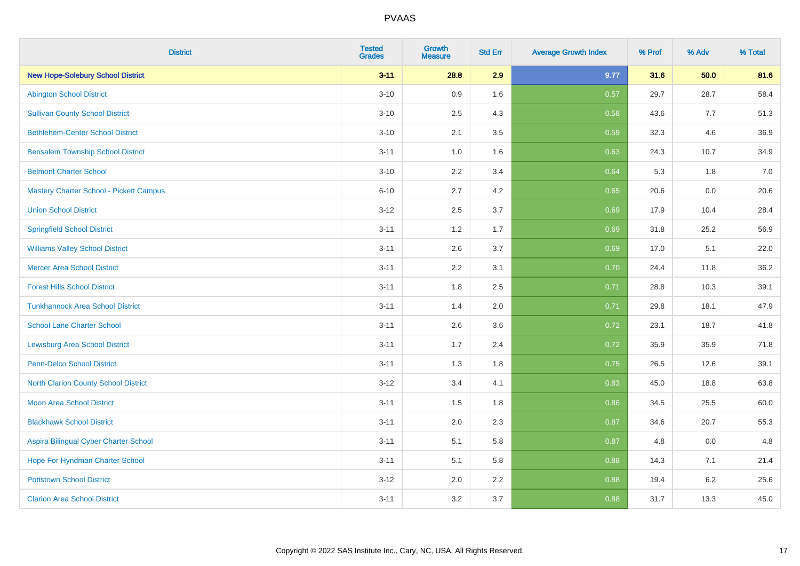| <b>District</b>                                | <b>Tested</b><br><b>Grades</b> | <b>Growth</b><br><b>Measure</b> | <b>Std Err</b> | <b>Average Growth Index</b> | % Prof | % Adv | % Total |
|------------------------------------------------|--------------------------------|---------------------------------|----------------|-----------------------------|--------|-------|---------|
| <b>New Hope-Solebury School District</b>       | $3 - 11$                       | 28.8                            | 2.9            | 9.77                        | 31.6   | 50.0  | 81.6    |
| <b>Abington School District</b>                | $3 - 10$                       | 0.9                             | 1.6            | 0.57                        | 29.7   | 28.7  | 58.4    |
| <b>Sullivan County School District</b>         | $3 - 10$                       | 2.5                             | 4.3            | 0.58                        | 43.6   | 7.7   | 51.3    |
| <b>Bethlehem-Center School District</b>        | $3 - 10$                       | 2.1                             | 3.5            | 0.59                        | 32.3   | 4.6   | 36.9    |
| <b>Bensalem Township School District</b>       | $3 - 11$                       | 1.0                             | 1.6            | 0.63                        | 24.3   | 10.7  | 34.9    |
| <b>Belmont Charter School</b>                  | $3 - 10$                       | 2.2                             | 3.4            | 0.64                        | 5.3    | 1.8   | 7.0     |
| <b>Mastery Charter School - Pickett Campus</b> | $6 - 10$                       | 2.7                             | 4.2            | 0.65                        | 20.6   | 0.0   | 20.6    |
| <b>Union School District</b>                   | $3 - 12$                       | 2.5                             | 3.7            | 0.69                        | 17.9   | 10.4  | 28.4    |
| <b>Springfield School District</b>             | $3 - 11$                       | 1.2                             | 1.7            | 0.69                        | 31.8   | 25.2  | 56.9    |
| <b>Williams Valley School District</b>         | $3 - 11$                       | 2.6                             | 3.7            | 0.69                        | 17.0   | 5.1   | 22.0    |
| <b>Mercer Area School District</b>             | $3 - 11$                       | 2.2                             | 3.1            | 0.70                        | 24.4   | 11.8  | 36.2    |
| <b>Forest Hills School District</b>            | $3 - 11$                       | 1.8                             | 2.5            | 0.71                        | 28.8   | 10.3  | 39.1    |
| <b>Tunkhannock Area School District</b>        | $3 - 11$                       | 1.4                             | 2.0            | 0.71                        | 29.8   | 18.1  | 47.9    |
| <b>School Lane Charter School</b>              | $3 - 11$                       | 2.6                             | 3.6            | 0.72                        | 23.1   | 18.7  | 41.8    |
| <b>Lewisburg Area School District</b>          | $3 - 11$                       | 1.7                             | 2.4            | 0.72                        | 35.9   | 35.9  | 71.8    |
| Penn-Delco School District                     | $3 - 11$                       | 1.3                             | 1.8            | 0.75                        | 26.5   | 12.6  | 39.1    |
| <b>North Clarion County School District</b>    | $3 - 12$                       | 3.4                             | 4.1            | 0.83                        | 45.0   | 18.8  | 63.8    |
| <b>Moon Area School District</b>               | $3 - 11$                       | 1.5                             | 1.8            | 0.86                        | 34.5   | 25.5  | 60.0    |
| <b>Blackhawk School District</b>               | $3 - 11$                       | 2.0                             | 2.3            | 0.87                        | 34.6   | 20.7  | 55.3    |
| Aspira Bilingual Cyber Charter School          | $3 - 11$                       | 5.1                             | 5.8            | 0.87                        | 4.8    | 0.0   | 4.8     |
| Hope For Hyndman Charter School                | $3 - 11$                       | 5.1                             | 5.8            | 0.88                        | 14.3   | 7.1   | 21.4    |
| <b>Pottstown School District</b>               | $3 - 12$                       | 2.0                             | 2.2            | 0.88                        | 19.4   | 6.2   | 25.6    |
| <b>Clarion Area School District</b>            | $3 - 11$                       | 3.2                             | 3.7            | 0.88                        | 31.7   | 13.3  | 45.0    |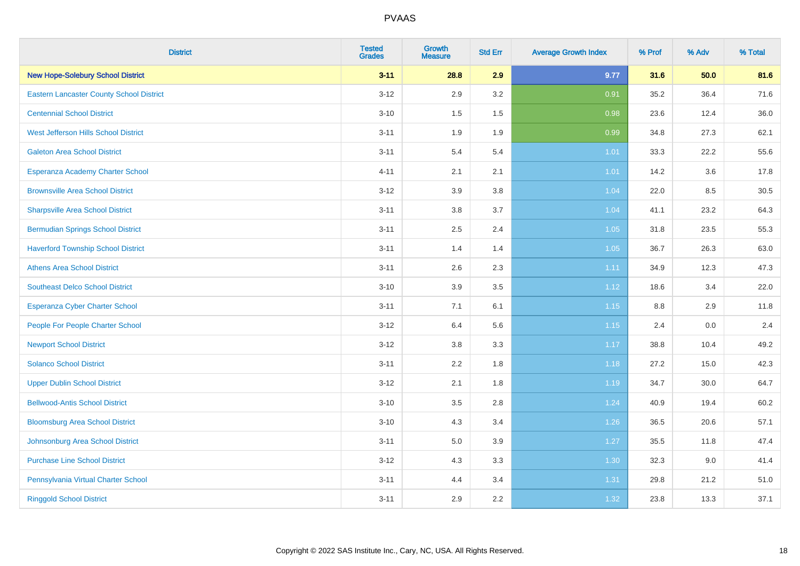| <b>District</b>                                 | <b>Tested</b><br><b>Grades</b> | Growth<br><b>Measure</b> | <b>Std Err</b> | <b>Average Growth Index</b> | % Prof | % Adv | % Total |
|-------------------------------------------------|--------------------------------|--------------------------|----------------|-----------------------------|--------|-------|---------|
| <b>New Hope-Solebury School District</b>        | $3 - 11$                       | 28.8                     | 2.9            | 9.77                        | 31.6   | 50.0  | 81.6    |
| <b>Eastern Lancaster County School District</b> | $3 - 12$                       | 2.9                      | 3.2            | 0.91                        | 35.2   | 36.4  | 71.6    |
| <b>Centennial School District</b>               | $3 - 10$                       | 1.5                      | 1.5            | 0.98                        | 23.6   | 12.4  | 36.0    |
| West Jefferson Hills School District            | $3 - 11$                       | 1.9                      | 1.9            | 0.99                        | 34.8   | 27.3  | 62.1    |
| <b>Galeton Area School District</b>             | $3 - 11$                       | 5.4                      | 5.4            | $1.01$                      | 33.3   | 22.2  | 55.6    |
| Esperanza Academy Charter School                | $4 - 11$                       | 2.1                      | 2.1            | $1.01$                      | 14.2   | 3.6   | 17.8    |
| <b>Brownsville Area School District</b>         | $3 - 12$                       | 3.9                      | 3.8            | 1.04                        | 22.0   | 8.5   | 30.5    |
| <b>Sharpsville Area School District</b>         | $3 - 11$                       | 3.8                      | 3.7            | 1.04                        | 41.1   | 23.2  | 64.3    |
| <b>Bermudian Springs School District</b>        | $3 - 11$                       | 2.5                      | 2.4            | 1.05                        | 31.8   | 23.5  | 55.3    |
| <b>Haverford Township School District</b>       | $3 - 11$                       | 1.4                      | 1.4            | 1.05                        | 36.7   | 26.3  | 63.0    |
| <b>Athens Area School District</b>              | $3 - 11$                       | 2.6                      | 2.3            | 1.11                        | 34.9   | 12.3  | 47.3    |
| <b>Southeast Delco School District</b>          | $3 - 10$                       | 3.9                      | 3.5            | 1.12                        | 18.6   | 3.4   | 22.0    |
| Esperanza Cyber Charter School                  | $3 - 11$                       | 7.1                      | 6.1            | $1.15$                      | 8.8    | 2.9   | 11.8    |
| People For People Charter School                | $3 - 12$                       | 6.4                      | 5.6            | 1.15                        | 2.4    | 0.0   | 2.4     |
| <b>Newport School District</b>                  | $3-12$                         | $3.8\,$                  | 3.3            | 1.17                        | 38.8   | 10.4  | 49.2    |
| <b>Solanco School District</b>                  | $3 - 11$                       | 2.2                      | 1.8            | 1.18                        | 27.2   | 15.0  | 42.3    |
| <b>Upper Dublin School District</b>             | $3 - 12$                       | 2.1                      | 1.8            | 1.19                        | 34.7   | 30.0  | 64.7    |
| <b>Bellwood-Antis School District</b>           | $3 - 10$                       | 3.5                      | 2.8            | 1.24                        | 40.9   | 19.4  | 60.2    |
| <b>Bloomsburg Area School District</b>          | $3 - 10$                       | 4.3                      | 3.4            | 1.26                        | 36.5   | 20.6  | 57.1    |
| Johnsonburg Area School District                | $3 - 11$                       | 5.0                      | 3.9            | 1.27                        | 35.5   | 11.8  | 47.4    |
| <b>Purchase Line School District</b>            | $3 - 12$                       | 4.3                      | 3.3            | 1.30                        | 32.3   | 9.0   | 41.4    |
| Pennsylvania Virtual Charter School             | $3 - 11$                       | 4.4                      | 3.4            | 1.31                        | 29.8   | 21.2  | 51.0    |
| <b>Ringgold School District</b>                 | $3 - 11$                       | 2.9                      | 2.2            | 1.32                        | 23.8   | 13.3  | 37.1    |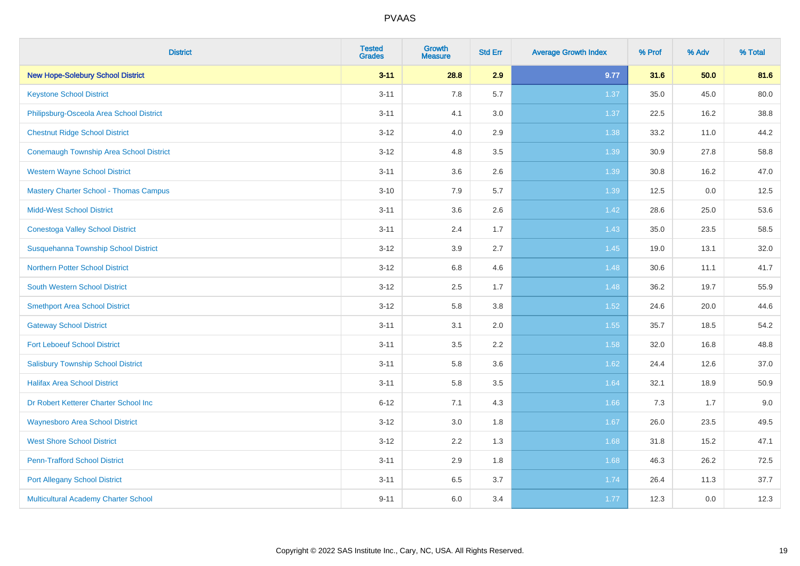| <b>District</b>                                | <b>Tested</b><br><b>Grades</b> | <b>Growth</b><br><b>Measure</b> | <b>Std Err</b> | <b>Average Growth Index</b> | % Prof | % Adv | % Total |
|------------------------------------------------|--------------------------------|---------------------------------|----------------|-----------------------------|--------|-------|---------|
| <b>New Hope-Solebury School District</b>       | $3 - 11$                       | 28.8                            | 2.9            | 9.77                        | 31.6   | 50.0  | 81.6    |
| <b>Keystone School District</b>                | $3 - 11$                       | 7.8                             | 5.7            | 1.37                        | 35.0   | 45.0  | 80.0    |
| Philipsburg-Osceola Area School District       | $3 - 11$                       | 4.1                             | 3.0            | 1.37                        | 22.5   | 16.2  | 38.8    |
| <b>Chestnut Ridge School District</b>          | $3-12$                         | 4.0                             | 2.9            | 1.38                        | 33.2   | 11.0  | 44.2    |
| <b>Conemaugh Township Area School District</b> | $3 - 12$                       | 4.8                             | 3.5            | 1.39                        | 30.9   | 27.8  | 58.8    |
| <b>Western Wayne School District</b>           | $3 - 11$                       | 3.6                             | 2.6            | 1.39                        | 30.8   | 16.2  | 47.0    |
| <b>Mastery Charter School - Thomas Campus</b>  | $3 - 10$                       | 7.9                             | 5.7            | 1.39                        | 12.5   | 0.0   | 12.5    |
| <b>Midd-West School District</b>               | $3 - 11$                       | 3.6                             | 2.6            | 1.42                        | 28.6   | 25.0  | 53.6    |
| <b>Conestoga Valley School District</b>        | $3 - 11$                       | 2.4                             | 1.7            | 1.43                        | 35.0   | 23.5  | 58.5    |
| Susquehanna Township School District           | $3 - 12$                       | 3.9                             | 2.7            | 1.45                        | 19.0   | 13.1  | 32.0    |
| <b>Northern Potter School District</b>         | $3 - 12$                       | 6.8                             | 4.6            | 1.48                        | 30.6   | 11.1  | 41.7    |
| <b>South Western School District</b>           | $3 - 12$                       | 2.5                             | 1.7            | 1.48                        | 36.2   | 19.7  | 55.9    |
| <b>Smethport Area School District</b>          | $3 - 12$                       | 5.8                             | 3.8            | 1.52                        | 24.6   | 20.0  | 44.6    |
| <b>Gateway School District</b>                 | $3 - 11$                       | 3.1                             | 2.0            | 1.55                        | 35.7   | 18.5  | 54.2    |
| <b>Fort Leboeuf School District</b>            | $3 - 11$                       | 3.5                             | 2.2            | 1.58                        | 32.0   | 16.8  | 48.8    |
| <b>Salisbury Township School District</b>      | $3 - 11$                       | 5.8                             | 3.6            | 1.62                        | 24.4   | 12.6  | 37.0    |
| <b>Halifax Area School District</b>            | $3 - 11$                       | 5.8                             | 3.5            | 1.64                        | 32.1   | 18.9  | 50.9    |
| Dr Robert Ketterer Charter School Inc          | $6 - 12$                       | 7.1                             | 4.3            | 1.66                        | 7.3    | 1.7   | 9.0     |
| <b>Waynesboro Area School District</b>         | $3 - 12$                       | 3.0                             | 1.8            | 1.67                        | 26.0   | 23.5  | 49.5    |
| <b>West Shore School District</b>              | $3 - 12$                       | 2.2                             | 1.3            | 1.68                        | 31.8   | 15.2  | 47.1    |
| <b>Penn-Trafford School District</b>           | $3 - 11$                       | 2.9                             | 1.8            | 1.68                        | 46.3   | 26.2  | 72.5    |
| <b>Port Allegany School District</b>           | $3 - 11$                       | 6.5                             | 3.7            | 1.74                        | 26.4   | 11.3  | 37.7    |
| Multicultural Academy Charter School           | $9 - 11$                       | 6.0                             | 3.4            | 1.77                        | 12.3   | 0.0   | 12.3    |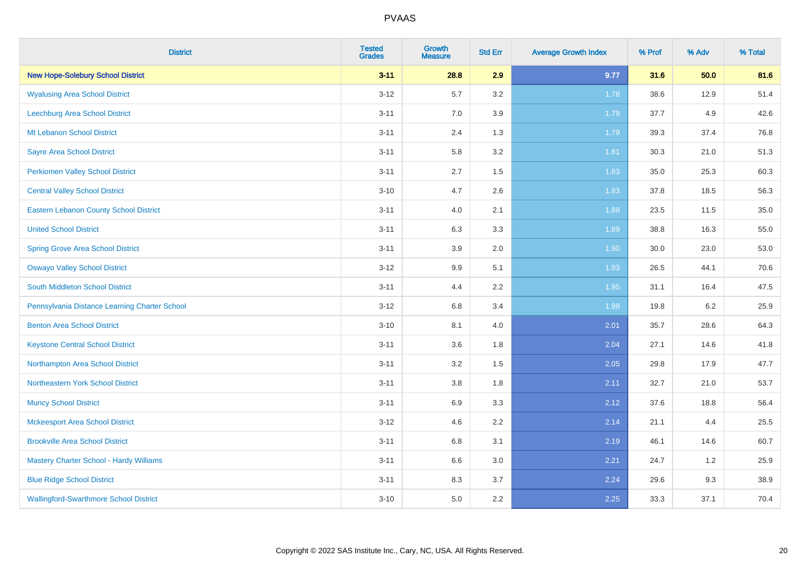| <b>District</b>                               | <b>Tested</b><br><b>Grades</b> | <b>Growth</b><br><b>Measure</b> | <b>Std Err</b> | <b>Average Growth Index</b> | % Prof | % Adv | % Total |
|-----------------------------------------------|--------------------------------|---------------------------------|----------------|-----------------------------|--------|-------|---------|
| <b>New Hope-Solebury School District</b>      | $3 - 11$                       | 28.8                            | 2.9            | 9.77                        | 31.6   | 50.0  | 81.6    |
| <b>Wyalusing Area School District</b>         | $3 - 12$                       | 5.7                             | 3.2            | 1.78                        | 38.6   | 12.9  | 51.4    |
| Leechburg Area School District                | $3 - 11$                       | 7.0                             | 3.9            | 1.79                        | 37.7   | 4.9   | 42.6    |
| Mt Lebanon School District                    | $3 - 11$                       | 2.4                             | 1.3            | 1.79                        | 39.3   | 37.4  | 76.8    |
| <b>Sayre Area School District</b>             | $3 - 11$                       | 5.8                             | 3.2            | 1.81                        | 30.3   | 21.0  | 51.3    |
| <b>Perkiomen Valley School District</b>       | $3 - 11$                       | 2.7                             | 1.5            | 1.83                        | 35.0   | 25.3  | 60.3    |
| <b>Central Valley School District</b>         | $3 - 10$                       | 4.7                             | 2.6            | 1.83                        | 37.8   | 18.5  | 56.3    |
| <b>Eastern Lebanon County School District</b> | $3 - 11$                       | 4.0                             | 2.1            | 1.89                        | 23.5   | 11.5  | 35.0    |
| <b>United School District</b>                 | $3 - 11$                       | 6.3                             | 3.3            | 1.89                        | 38.8   | 16.3  | 55.0    |
| <b>Spring Grove Area School District</b>      | $3 - 11$                       | 3.9                             | 2.0            | 1.90                        | 30.0   | 23.0  | 53.0    |
| <b>Oswayo Valley School District</b>          | $3 - 12$                       | 9.9                             | 5.1            | 1.93                        | 26.5   | 44.1  | 70.6    |
| South Middleton School District               | $3 - 11$                       | 4.4                             | 2.2            | 1.95                        | 31.1   | 16.4  | 47.5    |
| Pennsylvania Distance Learning Charter School | $3 - 12$                       | $6.8\,$                         | 3.4            | 1.99                        | 19.8   | 6.2   | 25.9    |
| <b>Benton Area School District</b>            | $3 - 10$                       | 8.1                             | 4.0            | 2.01                        | 35.7   | 28.6  | 64.3    |
| <b>Keystone Central School District</b>       | $3 - 11$                       | 3.6                             | 1.8            | 2.04                        | 27.1   | 14.6  | 41.8    |
| Northampton Area School District              | $3 - 11$                       | 3.2                             | 1.5            | 2.05                        | 29.8   | 17.9  | 47.7    |
| Northeastern York School District             | $3 - 11$                       | 3.8                             | 1.8            | 2.11                        | 32.7   | 21.0  | 53.7    |
| <b>Muncy School District</b>                  | $3 - 11$                       | 6.9                             | 3.3            | 2.12                        | 37.6   | 18.8  | 56.4    |
| <b>Mckeesport Area School District</b>        | $3 - 12$                       | 4.6                             | 2.2            | 2.14                        | 21.1   | 4.4   | 25.5    |
| <b>Brookville Area School District</b>        | $3 - 11$                       | $6.8\,$                         | 3.1            | 2.19                        | 46.1   | 14.6  | 60.7    |
| Mastery Charter School - Hardy Williams       | $3 - 11$                       | 6.6                             | 3.0            | 2.21                        | 24.7   | 1.2   | 25.9    |
| <b>Blue Ridge School District</b>             | $3 - 11$                       | 8.3                             | 3.7            | 2.24                        | 29.6   | 9.3   | 38.9    |
| <b>Wallingford-Swarthmore School District</b> | $3 - 10$                       | 5.0                             | 2.2            | 2.25                        | 33.3   | 37.1  | 70.4    |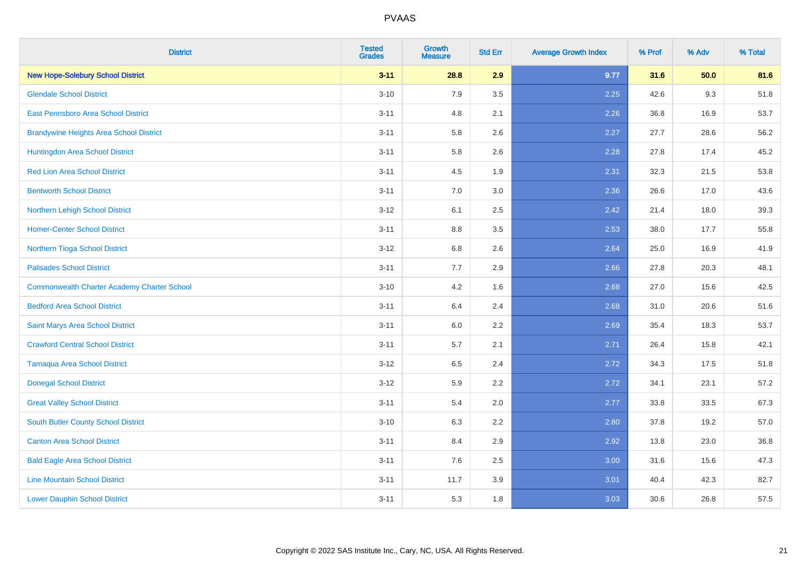| <b>District</b>                                    | <b>Tested</b><br><b>Grades</b> | <b>Growth</b><br><b>Measure</b> | <b>Std Err</b> | <b>Average Growth Index</b> | % Prof | % Adv | % Total |
|----------------------------------------------------|--------------------------------|---------------------------------|----------------|-----------------------------|--------|-------|---------|
| <b>New Hope-Solebury School District</b>           | $3 - 11$                       | 28.8                            | 2.9            | 9.77                        | 31.6   | 50.0  | 81.6    |
| <b>Glendale School District</b>                    | $3 - 10$                       | 7.9                             | 3.5            | 2.25                        | 42.6   | 9.3   | 51.8    |
| East Pennsboro Area School District                | $3 - 11$                       | 4.8                             | 2.1            | 2.26                        | 36.8   | 16.9  | 53.7    |
| <b>Brandywine Heights Area School District</b>     | $3 - 11$                       | 5.8                             | 2.6            | 2.27                        | 27.7   | 28.6  | 56.2    |
| Huntingdon Area School District                    | $3 - 11$                       | 5.8                             | 2.6            | 2.28                        | 27.8   | 17.4  | 45.2    |
| <b>Red Lion Area School District</b>               | $3 - 11$                       | 4.5                             | 1.9            | 2.31                        | 32.3   | 21.5  | 53.8    |
| <b>Bentworth School District</b>                   | $3 - 11$                       | 7.0                             | 3.0            | 2.36                        | 26.6   | 17.0  | 43.6    |
| Northern Lehigh School District                    | $3 - 12$                       | 6.1                             | 2.5            | 2.42                        | 21.4   | 18.0  | 39.3    |
| <b>Homer-Center School District</b>                | $3 - 11$                       | 8.8                             | 3.5            | 2.53                        | 38.0   | 17.7  | 55.8    |
| Northern Tioga School District                     | $3-12$                         | 6.8                             | 2.6            | 2.64                        | 25.0   | 16.9  | 41.9    |
| <b>Palisades School District</b>                   | $3 - 11$                       | 7.7                             | 2.9            | 2.66                        | 27.8   | 20.3  | 48.1    |
| <b>Commonwealth Charter Academy Charter School</b> | $3 - 10$                       | 4.2                             | 1.6            | 2.68                        | 27.0   | 15.6  | 42.5    |
| <b>Bedford Area School District</b>                | $3 - 11$                       | 6.4                             | 2.4            | 2.68                        | 31.0   | 20.6  | 51.6    |
| Saint Marys Area School District                   | $3 - 11$                       | 6.0                             | 2.2            | 2.69                        | 35.4   | 18.3  | 53.7    |
| <b>Crawford Central School District</b>            | $3 - 11$                       | 5.7                             | 2.1            | 2.71                        | 26.4   | 15.8  | 42.1    |
| <b>Tamaqua Area School District</b>                | $3 - 12$                       | 6.5                             | 2.4            | 2.72                        | 34.3   | 17.5  | 51.8    |
| <b>Donegal School District</b>                     | $3 - 12$                       | 5.9                             | 2.2            | 2.72                        | 34.1   | 23.1  | 57.2    |
| <b>Great Valley School District</b>                | $3 - 11$                       | 5.4                             | 2.0            | 2.77                        | 33.8   | 33.5  | 67.3    |
| <b>South Butler County School District</b>         | $3 - 10$                       | 6.3                             | 2.2            | 2.80                        | 37.8   | 19.2  | 57.0    |
| <b>Canton Area School District</b>                 | $3 - 11$                       | 8.4                             | 2.9            | 2.92                        | 13.8   | 23.0  | 36.8    |
| <b>Bald Eagle Area School District</b>             | $3 - 11$                       | 7.6                             | 2.5            | 3.00                        | 31.6   | 15.6  | 47.3    |
| <b>Line Mountain School District</b>               | $3 - 11$                       | 11.7                            | 3.9            | 3.01                        | 40.4   | 42.3  | 82.7    |
| <b>Lower Dauphin School District</b>               | $3 - 11$                       | 5.3                             | 1.8            | 3.03                        | 30.6   | 26.8  | 57.5    |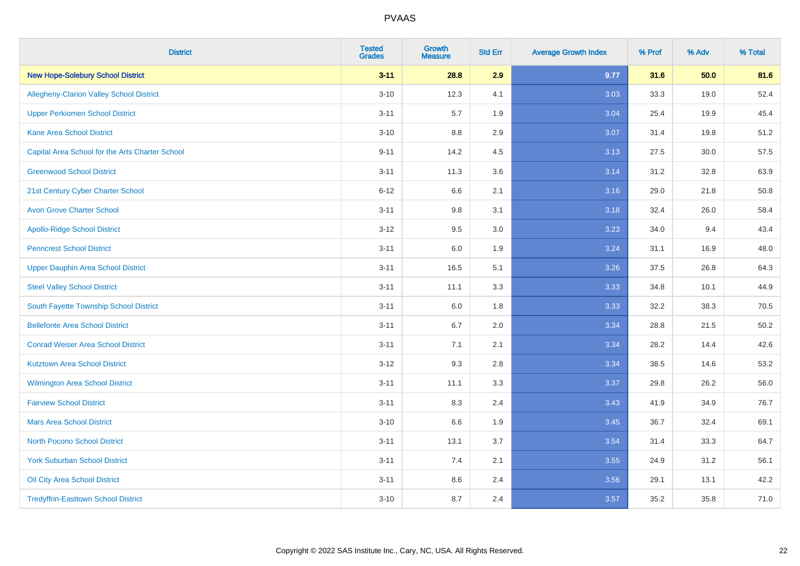| <b>District</b>                                 | <b>Tested</b><br><b>Grades</b> | <b>Growth</b><br><b>Measure</b> | <b>Std Err</b> | <b>Average Growth Index</b> | % Prof | % Adv | % Total |
|-------------------------------------------------|--------------------------------|---------------------------------|----------------|-----------------------------|--------|-------|---------|
| <b>New Hope-Solebury School District</b>        | $3 - 11$                       | 28.8                            | 2.9            | 9.77                        | 31.6   | 50.0  | 81.6    |
| <b>Allegheny-Clarion Valley School District</b> | $3 - 10$                       | 12.3                            | 4.1            | 3.03                        | 33.3   | 19.0  | 52.4    |
| <b>Upper Perkiomen School District</b>          | $3 - 11$                       | 5.7                             | 1.9            | 3.04                        | 25.4   | 19.9  | 45.4    |
| <b>Kane Area School District</b>                | $3 - 10$                       | 8.8                             | 2.9            | 3.07                        | 31.4   | 19.8  | 51.2    |
| Capital Area School for the Arts Charter School | $9 - 11$                       | 14.2                            | 4.5            | 3.13                        | 27.5   | 30.0  | 57.5    |
| <b>Greenwood School District</b>                | $3 - 11$                       | 11.3                            | 3.6            | 3.14                        | 31.2   | 32.8  | 63.9    |
| 21st Century Cyber Charter School               | $6 - 12$                       | 6.6                             | 2.1            | 3.16                        | 29.0   | 21.8  | 50.8    |
| <b>Avon Grove Charter School</b>                | $3 - 11$                       | 9.8                             | 3.1            | 3.18                        | 32.4   | 26.0  | 58.4    |
| <b>Apollo-Ridge School District</b>             | $3 - 12$                       | 9.5                             | 3.0            | 3.23                        | 34.0   | 9.4   | 43.4    |
| <b>Penncrest School District</b>                | $3 - 11$                       | 6.0                             | 1.9            | 3.24                        | 31.1   | 16.9  | 48.0    |
| <b>Upper Dauphin Area School District</b>       | $3 - 11$                       | 16.5                            | 5.1            | 3.26                        | 37.5   | 26.8  | 64.3    |
| <b>Steel Valley School District</b>             | $3 - 11$                       | 11.1                            | 3.3            | 3.33                        | 34.8   | 10.1  | 44.9    |
| South Fayette Township School District          | $3 - 11$                       | 6.0                             | 1.8            | 3.33                        | 32.2   | 38.3  | 70.5    |
| <b>Bellefonte Area School District</b>          | $3 - 11$                       | 6.7                             | 2.0            | 3.34                        | 28.8   | 21.5  | 50.2    |
| <b>Conrad Weiser Area School District</b>       | $3 - 11$                       | 7.1                             | 2.1            | 3.34                        | 28.2   | 14.4  | 42.6    |
| <b>Kutztown Area School District</b>            | $3 - 12$                       | 9.3                             | 2.8            | 3.34                        | 38.5   | 14.6  | 53.2    |
| Wilmington Area School District                 | $3 - 11$                       | 11.1                            | 3.3            | 3.37                        | 29.8   | 26.2  | 56.0    |
| <b>Fairview School District</b>                 | $3 - 11$                       | 8.3                             | 2.4            | 3.43                        | 41.9   | 34.9  | 76.7    |
| <b>Mars Area School District</b>                | $3 - 10$                       | 6.6                             | 1.9            | 3.45                        | 36.7   | 32.4  | 69.1    |
| <b>North Pocono School District</b>             | $3 - 11$                       | 13.1                            | 3.7            | 3.54                        | 31.4   | 33.3  | 64.7    |
| <b>York Suburban School District</b>            | $3 - 11$                       | 7.4                             | 2.1            | 3.55                        | 24.9   | 31.2  | 56.1    |
| Oil City Area School District                   | $3 - 11$                       | 8.6                             | 2.4            | 3.56                        | 29.1   | 13.1  | 42.2    |
| <b>Tredyffrin-Easttown School District</b>      | $3 - 10$                       | 8.7                             | 2.4            | 3.57                        | 35.2   | 35.8  | 71.0    |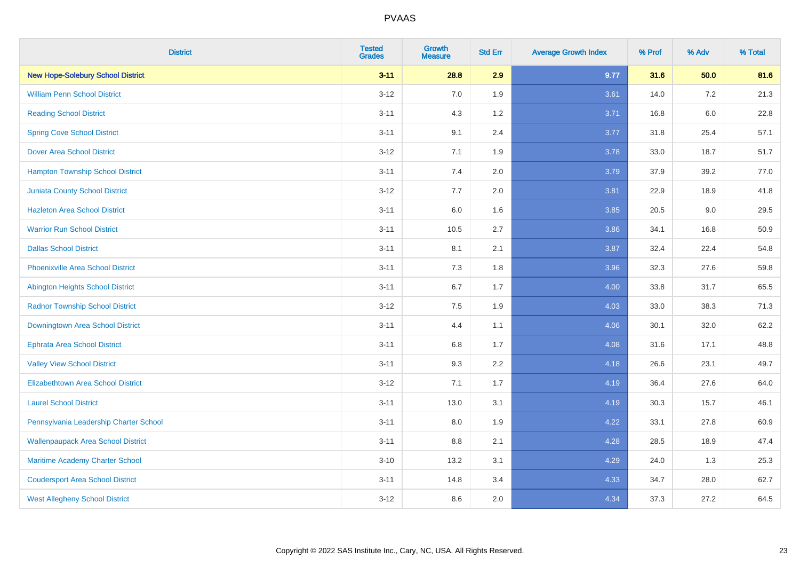| <b>District</b>                           | <b>Tested</b><br><b>Grades</b> | <b>Growth</b><br><b>Measure</b> | <b>Std Err</b> | <b>Average Growth Index</b> | % Prof | % Adv   | % Total |
|-------------------------------------------|--------------------------------|---------------------------------|----------------|-----------------------------|--------|---------|---------|
| <b>New Hope-Solebury School District</b>  | $3 - 11$                       | 28.8                            | 2.9            | 9.77                        | 31.6   | 50.0    | 81.6    |
| <b>William Penn School District</b>       | $3 - 12$                       | 7.0                             | 1.9            | 3.61                        | 14.0   | $7.2\,$ | 21.3    |
| <b>Reading School District</b>            | $3 - 11$                       | 4.3                             | 1.2            | 3.71                        | 16.8   | $6.0\,$ | 22.8    |
| <b>Spring Cove School District</b>        | $3 - 11$                       | 9.1                             | 2.4            | 3.77                        | 31.8   | 25.4    | 57.1    |
| <b>Dover Area School District</b>         | $3 - 12$                       | 7.1                             | 1.9            | 3.78                        | 33.0   | 18.7    | 51.7    |
| <b>Hampton Township School District</b>   | $3 - 11$                       | 7.4                             | 2.0            | 3.79                        | 37.9   | 39.2    | 77.0    |
| <b>Juniata County School District</b>     | $3-12$                         | 7.7                             | 2.0            | 3.81                        | 22.9   | 18.9    | 41.8    |
| <b>Hazleton Area School District</b>      | $3 - 11$                       | 6.0                             | 1.6            | 3.85                        | 20.5   | 9.0     | 29.5    |
| <b>Warrior Run School District</b>        | $3 - 11$                       | 10.5                            | 2.7            | 3.86                        | 34.1   | 16.8    | 50.9    |
| <b>Dallas School District</b>             | $3 - 11$                       | 8.1                             | 2.1            | 3.87                        | 32.4   | 22.4    | 54.8    |
| <b>Phoenixville Area School District</b>  | $3 - 11$                       | 7.3                             | 1.8            | 3.96                        | 32.3   | 27.6    | 59.8    |
| Abington Heights School District          | $3 - 11$                       | 6.7                             | 1.7            | 4.00                        | 33.8   | 31.7    | 65.5    |
| <b>Radnor Township School District</b>    | $3 - 12$                       | $7.5\,$                         | 1.9            | 4.03                        | 33.0   | 38.3    | 71.3    |
| Downingtown Area School District          | $3 - 11$                       | 4.4                             | 1.1            | 4.06                        | 30.1   | 32.0    | 62.2    |
| <b>Ephrata Area School District</b>       | $3 - 11$                       | 6.8                             | 1.7            | 4.08                        | 31.6   | 17.1    | 48.8    |
| <b>Valley View School District</b>        | $3 - 11$                       | 9.3                             | 2.2            | 4.18                        | 26.6   | 23.1    | 49.7    |
| <b>Elizabethtown Area School District</b> | $3-12$                         | 7.1                             | 1.7            | 4.19                        | 36.4   | 27.6    | 64.0    |
| <b>Laurel School District</b>             | $3 - 11$                       | 13.0                            | 3.1            | 4.19                        | 30.3   | 15.7    | 46.1    |
| Pennsylvania Leadership Charter School    | $3 - 11$                       | 8.0                             | 1.9            | 4.22                        | 33.1   | 27.8    | 60.9    |
| <b>Wallenpaupack Area School District</b> | $3 - 11$                       | 8.8                             | 2.1            | 4.28                        | 28.5   | 18.9    | 47.4    |
| Maritime Academy Charter School           | $3 - 10$                       | 13.2                            | 3.1            | 4.29                        | 24.0   | 1.3     | 25.3    |
| <b>Coudersport Area School District</b>   | $3 - 11$                       | 14.8                            | 3.4            | 4.33                        | 34.7   | 28.0    | 62.7    |
| <b>West Allegheny School District</b>     | $3-12$                         | 8.6                             | 2.0            | 4.34                        | 37.3   | 27.2    | 64.5    |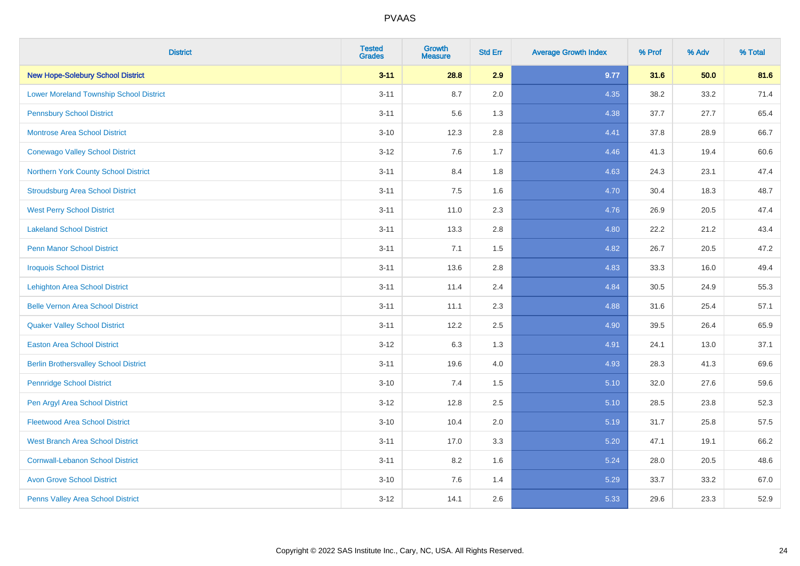| <b>District</b>                                | <b>Tested</b><br><b>Grades</b> | <b>Growth</b><br><b>Measure</b> | <b>Std Err</b> | <b>Average Growth Index</b> | % Prof | % Adv | % Total |
|------------------------------------------------|--------------------------------|---------------------------------|----------------|-----------------------------|--------|-------|---------|
| <b>New Hope-Solebury School District</b>       | $3 - 11$                       | 28.8                            | 2.9            | 9.77                        | 31.6   | 50.0  | 81.6    |
| <b>Lower Moreland Township School District</b> | $3 - 11$                       | 8.7                             | 2.0            | 4.35                        | 38.2   | 33.2  | 71.4    |
| <b>Pennsbury School District</b>               | $3 - 11$                       | 5.6                             | 1.3            | 4.38                        | 37.7   | 27.7  | 65.4    |
| <b>Montrose Area School District</b>           | $3 - 10$                       | 12.3                            | 2.8            | 4.41                        | 37.8   | 28.9  | 66.7    |
| <b>Conewago Valley School District</b>         | $3 - 12$                       | 7.6                             | 1.7            | 4.46                        | 41.3   | 19.4  | 60.6    |
| Northern York County School District           | $3 - 11$                       | 8.4                             | 1.8            | 4.63                        | 24.3   | 23.1  | 47.4    |
| <b>Stroudsburg Area School District</b>        | $3 - 11$                       | 7.5                             | 1.6            | 4.70                        | 30.4   | 18.3  | 48.7    |
| <b>West Perry School District</b>              | $3 - 11$                       | 11.0                            | 2.3            | 4.76                        | 26.9   | 20.5  | 47.4    |
| <b>Lakeland School District</b>                | $3 - 11$                       | 13.3                            | 2.8            | 4.80                        | 22.2   | 21.2  | 43.4    |
| <b>Penn Manor School District</b>              | $3 - 11$                       | 7.1                             | 1.5            | 4.82                        | 26.7   | 20.5  | 47.2    |
| <b>Iroquois School District</b>                | $3 - 11$                       | 13.6                            | 2.8            | 4.83                        | 33.3   | 16.0  | 49.4    |
| <b>Lehighton Area School District</b>          | $3 - 11$                       | 11.4                            | 2.4            | 4.84                        | 30.5   | 24.9  | 55.3    |
| <b>Belle Vernon Area School District</b>       | $3 - 11$                       | 11.1                            | 2.3            | 4.88                        | 31.6   | 25.4  | 57.1    |
| <b>Quaker Valley School District</b>           | $3 - 11$                       | 12.2                            | 2.5            | 4.90                        | 39.5   | 26.4  | 65.9    |
| <b>Easton Area School District</b>             | $3 - 12$                       | 6.3                             | 1.3            | 4.91                        | 24.1   | 13.0  | 37.1    |
| <b>Berlin Brothersvalley School District</b>   | $3 - 11$                       | 19.6                            | 4.0            | 4.93                        | 28.3   | 41.3  | 69.6    |
| <b>Pennridge School District</b>               | $3 - 10$                       | 7.4                             | 1.5            | 5.10                        | 32.0   | 27.6  | 59.6    |
| Pen Argyl Area School District                 | $3 - 12$                       | 12.8                            | 2.5            | 5.10                        | 28.5   | 23.8  | 52.3    |
| <b>Fleetwood Area School District</b>          | $3 - 10$                       | 10.4                            | 2.0            | 5.19                        | 31.7   | 25.8  | 57.5    |
| <b>West Branch Area School District</b>        | $3 - 11$                       | 17.0                            | 3.3            | 5.20                        | 47.1   | 19.1  | 66.2    |
| <b>Cornwall-Lebanon School District</b>        | $3 - 11$                       | 8.2                             | 1.6            | 5.24                        | 28.0   | 20.5  | 48.6    |
| <b>Avon Grove School District</b>              | $3 - 10$                       | 7.6                             | 1.4            | 5.29                        | 33.7   | 33.2  | 67.0    |
| Penns Valley Area School District              | $3-12$                         | 14.1                            | 2.6            | 5.33                        | 29.6   | 23.3  | 52.9    |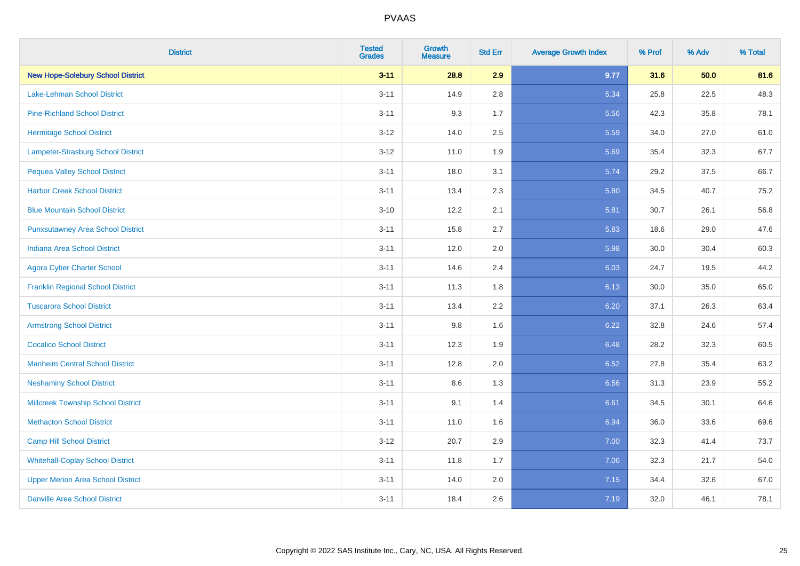| <b>District</b>                           | <b>Tested</b><br><b>Grades</b> | Growth<br><b>Measure</b> | <b>Std Err</b> | <b>Average Growth Index</b> | % Prof | % Adv | % Total |
|-------------------------------------------|--------------------------------|--------------------------|----------------|-----------------------------|--------|-------|---------|
| <b>New Hope-Solebury School District</b>  | $3 - 11$                       | 28.8                     | 2.9            | 9.77                        | 31.6   | 50.0  | 81.6    |
| Lake-Lehman School District               | $3 - 11$                       | 14.9                     | 2.8            | 5.34                        | 25.8   | 22.5  | 48.3    |
| <b>Pine-Richland School District</b>      | $3 - 11$                       | 9.3                      | 1.7            | 5.56                        | 42.3   | 35.8  | 78.1    |
| <b>Hermitage School District</b>          | $3 - 12$                       | 14.0                     | 2.5            | 5.59                        | 34.0   | 27.0  | 61.0    |
| Lampeter-Strasburg School District        | $3 - 12$                       | 11.0                     | 1.9            | 5.69                        | 35.4   | 32.3  | 67.7    |
| <b>Pequea Valley School District</b>      | $3 - 11$                       | 18.0                     | 3.1            | 5.74                        | 29.2   | 37.5  | 66.7    |
| <b>Harbor Creek School District</b>       | $3 - 11$                       | 13.4                     | 2.3            | 5.80                        | 34.5   | 40.7  | 75.2    |
| <b>Blue Mountain School District</b>      | $3 - 10$                       | 12.2                     | 2.1            | 5.81                        | 30.7   | 26.1  | 56.8    |
| <b>Punxsutawney Area School District</b>  | $3 - 11$                       | 15.8                     | 2.7            | 5.83                        | 18.6   | 29.0  | 47.6    |
| <b>Indiana Area School District</b>       | $3 - 11$                       | 12.0                     | 2.0            | 5.98                        | 30.0   | 30.4  | 60.3    |
| <b>Agora Cyber Charter School</b>         | $3 - 11$                       | 14.6                     | 2.4            | 6.03                        | 24.7   | 19.5  | 44.2    |
| <b>Franklin Regional School District</b>  | $3 - 11$                       | 11.3                     | 1.8            | 6.13                        | 30.0   | 35.0  | 65.0    |
| <b>Tuscarora School District</b>          | $3 - 11$                       | 13.4                     | 2.2            | 6.20                        | 37.1   | 26.3  | 63.4    |
| <b>Armstrong School District</b>          | $3 - 11$                       | 9.8                      | 1.6            | 6.22                        | 32.8   | 24.6  | 57.4    |
| <b>Cocalico School District</b>           | $3 - 11$                       | 12.3                     | 1.9            | 6.48                        | 28.2   | 32.3  | 60.5    |
| <b>Manheim Central School District</b>    | $3 - 11$                       | 12.8                     | 2.0            | 6.52                        | 27.8   | 35.4  | 63.2    |
| <b>Neshaminy School District</b>          | $3 - 11$                       | 8.6                      | 1.3            | 6.56                        | 31.3   | 23.9  | 55.2    |
| <b>Millcreek Township School District</b> | $3 - 11$                       | 9.1                      | 1.4            | 6.61                        | 34.5   | 30.1  | 64.6    |
| <b>Methacton School District</b>          | $3 - 11$                       | 11.0                     | 1.6            | 6.94                        | 36.0   | 33.6  | 69.6    |
| <b>Camp Hill School District</b>          | $3 - 12$                       | 20.7                     | 2.9            | 7.00                        | 32.3   | 41.4  | 73.7    |
| <b>Whitehall-Coplay School District</b>   | $3 - 11$                       | 11.8                     | 1.7            | 7.06                        | 32.3   | 21.7  | 54.0    |
| <b>Upper Merion Area School District</b>  | $3 - 11$                       | 14.0                     | 2.0            | 7.15                        | 34.4   | 32.6  | 67.0    |
| <b>Danville Area School District</b>      | $3 - 11$                       | 18.4                     | 2.6            | 7.19                        | 32.0   | 46.1  | 78.1    |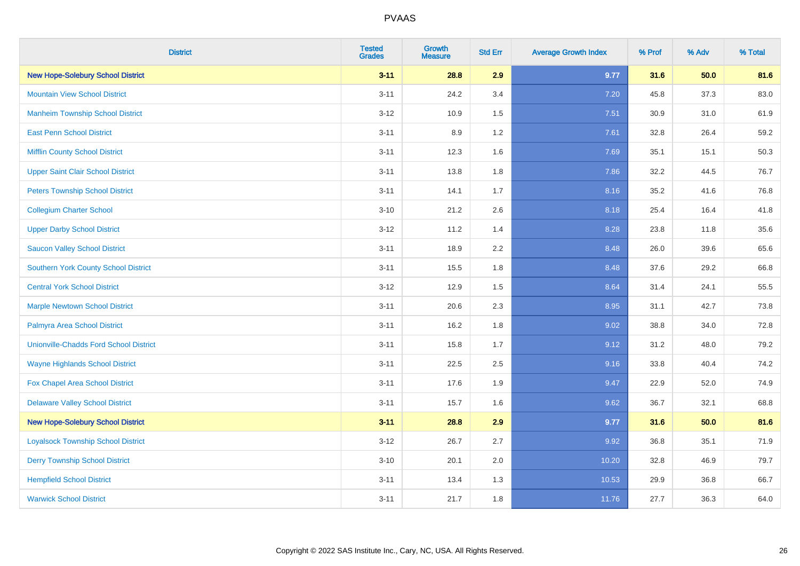| <b>District</b>                               | <b>Tested</b><br><b>Grades</b> | <b>Growth</b><br><b>Measure</b> | <b>Std Err</b> | <b>Average Growth Index</b> | % Prof | % Adv | % Total |
|-----------------------------------------------|--------------------------------|---------------------------------|----------------|-----------------------------|--------|-------|---------|
| <b>New Hope-Solebury School District</b>      | $3 - 11$                       | 28.8                            | 2.9            | 9.77                        | 31.6   | 50.0  | 81.6    |
| <b>Mountain View School District</b>          | $3 - 11$                       | 24.2                            | 3.4            | 7.20                        | 45.8   | 37.3  | 83.0    |
| <b>Manheim Township School District</b>       | $3 - 12$                       | 10.9                            | 1.5            | 7.51                        | 30.9   | 31.0  | 61.9    |
| <b>East Penn School District</b>              | $3 - 11$                       | 8.9                             | 1.2            | 7.61                        | 32.8   | 26.4  | 59.2    |
| <b>Mifflin County School District</b>         | $3 - 11$                       | 12.3                            | 1.6            | 7.69                        | 35.1   | 15.1  | 50.3    |
| <b>Upper Saint Clair School District</b>      | $3 - 11$                       | 13.8                            | 1.8            | 7.86                        | 32.2   | 44.5  | 76.7    |
| <b>Peters Township School District</b>        | $3 - 11$                       | 14.1                            | 1.7            | 8.16                        | 35.2   | 41.6  | 76.8    |
| <b>Collegium Charter School</b>               | $3 - 10$                       | 21.2                            | 2.6            | 8.18                        | 25.4   | 16.4  | 41.8    |
| <b>Upper Darby School District</b>            | $3 - 12$                       | 11.2                            | 1.4            | 8.28                        | 23.8   | 11.8  | 35.6    |
| <b>Saucon Valley School District</b>          | $3 - 11$                       | 18.9                            | 2.2            | 8.48                        | 26.0   | 39.6  | 65.6    |
| <b>Southern York County School District</b>   | $3 - 11$                       | 15.5                            | 1.8            | 8.48                        | 37.6   | 29.2  | 66.8    |
| <b>Central York School District</b>           | $3 - 12$                       | 12.9                            | 1.5            | 8.64                        | 31.4   | 24.1  | 55.5    |
| <b>Marple Newtown School District</b>         | $3 - 11$                       | 20.6                            | 2.3            | 8.95                        | 31.1   | 42.7  | 73.8    |
| Palmyra Area School District                  | $3 - 11$                       | 16.2                            | 1.8            | 9.02                        | 38.8   | 34.0  | 72.8    |
| <b>Unionville-Chadds Ford School District</b> | $3 - 11$                       | 15.8                            | 1.7            | 9.12                        | 31.2   | 48.0  | 79.2    |
| <b>Wayne Highlands School District</b>        | $3 - 11$                       | 22.5                            | 2.5            | 9.16                        | 33.8   | 40.4  | 74.2    |
| Fox Chapel Area School District               | $3 - 11$                       | 17.6                            | 1.9            | 9.47                        | 22.9   | 52.0  | 74.9    |
| <b>Delaware Valley School District</b>        | $3 - 11$                       | 15.7                            | 1.6            | 9.62                        | 36.7   | 32.1  | 68.8    |
| <b>New Hope-Solebury School District</b>      | $3 - 11$                       | 28.8                            | 2.9            | 9.77                        | 31.6   | 50.0  | 81.6    |
| <b>Loyalsock Township School District</b>     | $3 - 12$                       | 26.7                            | 2.7            | 9.92                        | 36.8   | 35.1  | 71.9    |
| <b>Derry Township School District</b>         | $3 - 10$                       | 20.1                            | 2.0            | 10.20                       | 32.8   | 46.9  | 79.7    |
| <b>Hempfield School District</b>              | $3 - 11$                       | 13.4                            | 1.3            | 10.53                       | 29.9   | 36.8  | 66.7    |
| <b>Warwick School District</b>                | $3 - 11$                       | 21.7                            | 1.8            | 11.76                       | 27.7   | 36.3  | 64.0    |